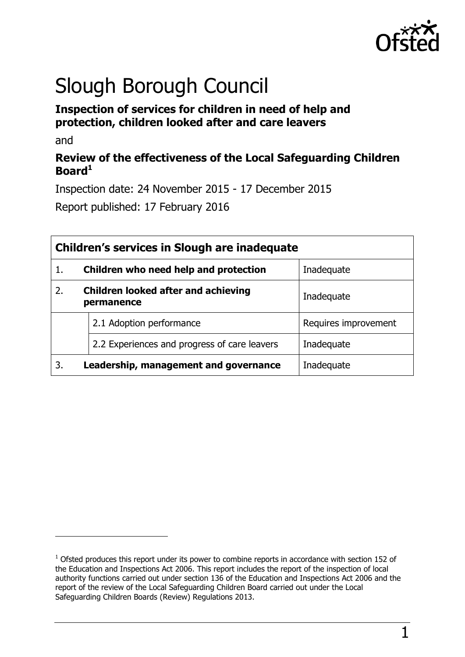

# Slough Borough Council

## **Inspection of services for children in need of help and protection, children looked after and care leavers**

and

 $\overline{a}$ 

## **Review of the effectiveness of the Local Safeguarding Children Board<sup>1</sup>**

Inspection date: 24 November 2015 - 17 December 2015

Report published: 17 February 2016

| Children's services in Slough are inadequate |                                                          |                      |  |
|----------------------------------------------|----------------------------------------------------------|----------------------|--|
|                                              | Children who need help and protection                    | Inadequate           |  |
| 2.                                           | <b>Children looked after and achieving</b><br>permanence | Inadequate           |  |
|                                              | 2.1 Adoption performance                                 | Requires improvement |  |
|                                              | 2.2 Experiences and progress of care leavers             | Inadequate           |  |
| 3.                                           | Leadership, management and governance                    | Inadequate           |  |

 $1$  Ofsted produces this report under its power to combine reports in accordance with section 152 of the Education and Inspections Act 2006. This report includes the report of the inspection of local authority functions carried out under section 136 of the Education and Inspections Act 2006 and the report of the review of the Local Safeguarding Children Board carried out under the Local Safeguarding Children Boards (Review) Regulations 2013.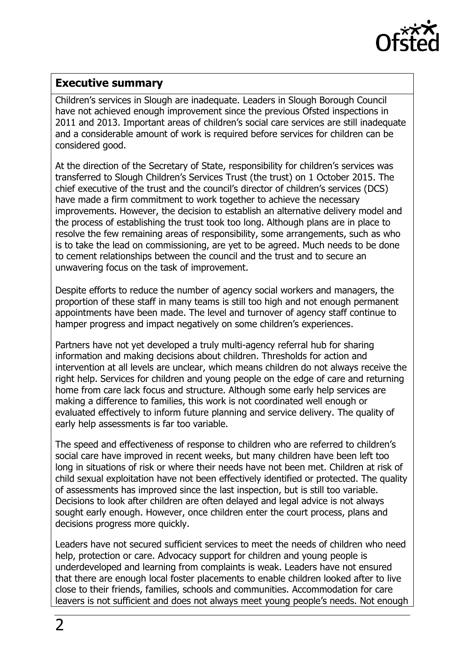

#### <span id="page-1-0"></span>**Executive summary**

Children's services in Slough are inadequate. Leaders in Slough Borough Council have not achieved enough improvement since the previous Ofsted inspections in 2011 and 2013. Important areas of children's social care services are still inadequate and a considerable amount of work is required before services for children can be considered good.

At the direction of the Secretary of State, responsibility for children's services was transferred to Slough Children's Services Trust (the trust) on 1 October 2015. The chief executive of the trust and the council's director of children's services (DCS) have made a firm commitment to work together to achieve the necessary improvements. However, the decision to establish an alternative delivery model and the process of establishing the trust took too long. Although plans are in place to resolve the few remaining areas of responsibility, some arrangements, such as who is to take the lead on commissioning, are yet to be agreed. Much needs to be done to cement relationships between the council and the trust and to secure an unwavering focus on the task of improvement.

Despite efforts to reduce the number of agency social workers and managers, the proportion of these staff in many teams is still too high and not enough permanent appointments have been made. The level and turnover of agency staff continue to hamper progress and impact negatively on some children's experiences.

Partners have not yet developed a truly multi-agency referral hub for sharing information and making decisions about children. Thresholds for action and intervention at all levels are unclear, which means children do not always receive the right help. Services for children and young people on the edge of care and returning home from care lack focus and structure. Although some early help services are making a difference to families, this work is not coordinated well enough or evaluated effectively to inform future planning and service delivery. The quality of early help assessments is far too variable.

The speed and effectiveness of response to children who are referred to children's social care have improved in recent weeks, but many children have been left too long in situations of risk or where their needs have not been met. Children at risk of child sexual exploitation have not been effectively identified or protected. The quality of assessments has improved since the last inspection, but is still too variable. Decisions to look after children are often delayed and legal advice is not always sought early enough. However, once children enter the court process, plans and decisions progress more quickly.

Leaders have not secured sufficient services to meet the needs of children who need help, protection or care. Advocacy support for children and young people is underdeveloped and learning from complaints is weak. Leaders have not ensured that there are enough local foster placements to enable children looked after to live close to their friends, families, schools and communities. Accommodation for care leavers is not sufficient and does not always meet young people's needs. Not enough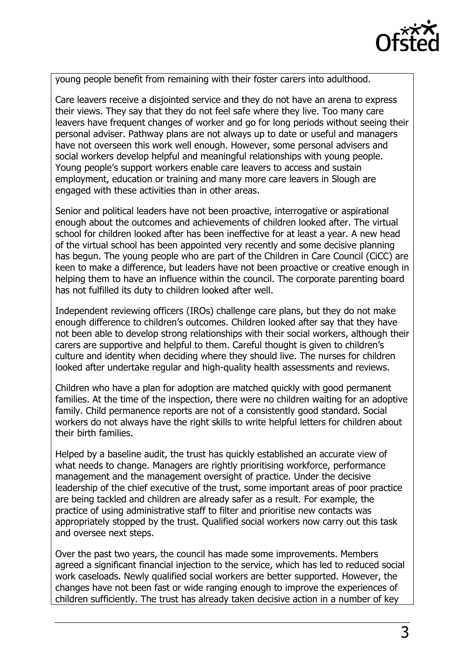

young people benefit from remaining with their foster carers into adulthood.

Care leavers receive a disjointed service and they do not have an arena to express their views. They say that they do not feel safe where they live. Too many care leavers have frequent changes of worker and go for long periods without seeing their personal adviser. Pathway plans are not always up to date or useful and managers have not overseen this work well enough. However, some personal advisers and social workers develop helpful and meaningful relationships with young people. Young people's support workers enable care leavers to access and sustain employment, education or training and many more care leavers in Slough are engaged with these activities than in other areas.

Senior and political leaders have not been proactive, interrogative or aspirational enough about the outcomes and achievements of children looked after. The virtual school for children looked after has been ineffective for at least a year. A new head of the virtual school has been appointed very recently and some decisive planning has begun. The young people who are part of the Children in Care Council (CiCC) are keen to make a difference, but leaders have not been proactive or creative enough in helping them to have an influence within the council. The corporate parenting board has not fulfilled its duty to children looked after well.

Independent reviewing officers (IROs) challenge care plans, but they do not make enough difference to children's outcomes. Children looked after say that they have not been able to develop strong relationships with their social workers, although their carers are supportive and helpful to them. Careful thought is given to children's culture and identity when deciding where they should live. The nurses for children looked after undertake regular and high-quality health assessments and reviews.

Children who have a plan for adoption are matched quickly with good permanent families. At the time of the inspection, there were no children waiting for an adoptive family. Child permanence reports are not of a consistently good standard. Social workers do not always have the right skills to write helpful letters for children about their birth families.

Helped by a baseline audit, the trust has quickly established an accurate view of what needs to change. Managers are rightly prioritising workforce, performance management and the management oversight of practice. Under the decisive leadership of the chief executive of the trust, some important areas of poor practice are being tackled and children are already safer as a result. For example, the practice of using administrative staff to filter and prioritise new contacts was appropriately stopped by the trust. Qualified social workers now carry out this task and oversee next steps.

Over the past two years, the council has made some improvements. Members agreed a significant financial injection to the service, which has led to reduced social work caseloads. Newly qualified social workers are better supported. However, the changes have not been fast or wide ranging enough to improve the experiences of children sufficiently. The trust has already taken decisive action in a number of key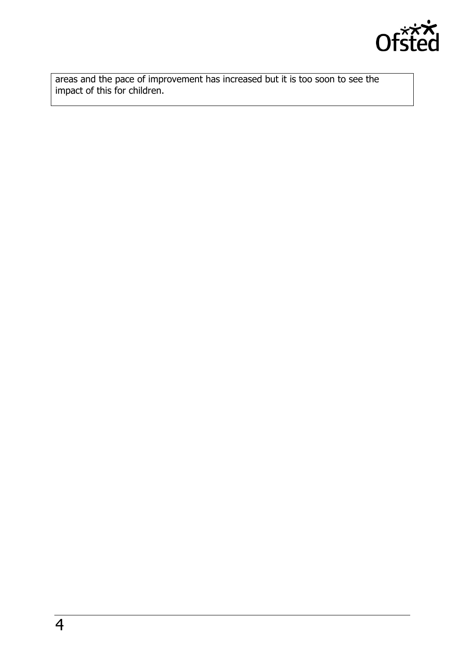

areas and the pace of improvement has increased but it is too soon to see the impact of this for children.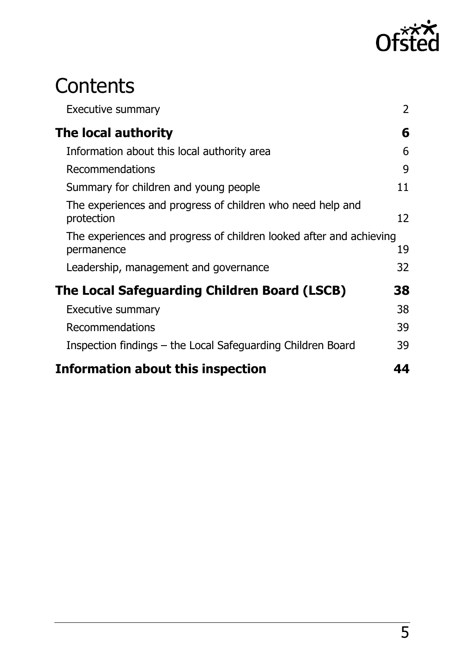

# **Contents**

| <b>Executive summary</b>                                                          | $\overline{2}$ |
|-----------------------------------------------------------------------------------|----------------|
| The local authority                                                               | 6              |
| Information about this local authority area                                       | 6              |
| Recommendations                                                                   | 9              |
| Summary for children and young people                                             | 11             |
| The experiences and progress of children who need help and<br>protection          | 12             |
| The experiences and progress of children looked after and achieving<br>permanence | 19             |
| Leadership, management and governance                                             | 32             |
| The Local Safeguarding Children Board (LSCB)                                      |                |
| <b>Executive summary</b>                                                          | 38             |
| Recommendations                                                                   | 39             |
| Inspection findings – the Local Safeguarding Children Board                       | 39             |
| <b>Information about this inspection</b>                                          | 44             |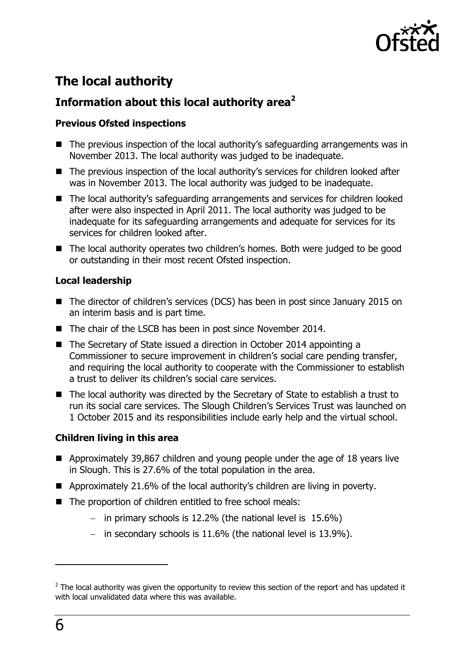

## <span id="page-5-0"></span>**The local authority**

## <span id="page-5-1"></span>**Information about this local authority area<sup>2</sup>**

#### **Previous Ofsted inspections**

- The previous inspection of the local authority's safeguarding arrangements was in November 2013. The local authority was judged to be inadequate.
- The previous inspection of the local authority's services for children looked after was in November 2013. The local authority was judged to be inadequate.
- The local authority's safeguarding arrangements and services for children looked after were also inspected in April 2011. The local authority was judged to be inadequate for its safeguarding arrangements and adequate for services for its services for children looked after.
- The local authority operates two children's homes. Both were judged to be good or outstanding in their most recent Ofsted inspection.

#### **Local leadership**

- The director of children's services (DCS) has been in post since January 2015 on an interim basis and is part time.
- The chair of the LSCB has been in post since November 2014.
- The Secretary of State issued a direction in October 2014 appointing a Commissioner to secure improvement in children's social care pending transfer, and requiring the local authority to cooperate with the Commissioner to establish a trust to deliver its children's social care services.
- The local authority was directed by the Secretary of State to establish a trust to run its social care services. The Slough Children's Services Trust was launched on 1 October 2015 and its responsibilities include early help and the virtual school.

#### **Children living in this area**

- Approximately 39,867 children and young people under the age of 18 years live in Slough. This is 27.6% of the total population in the area.
- Approximately 21.6% of the local authority's children are living in poverty.
- The proportion of children entitled to free school meals:
	- in primary schools is  $12.2\%$  (the national level is  $15.6\%$ )
	- in secondary schools is  $11.6\%$  (the national level is  $13.9\%$ ).

 $\overline{a}$ 

 $2$  The local authority was given the opportunity to review this section of the report and has updated it with local unvalidated data where this was available.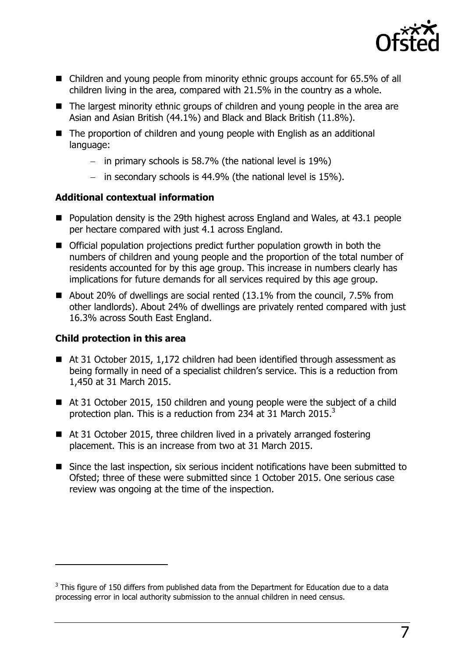

- Children and young people from minority ethnic groups account for 65.5% of all children living in the area, compared with 21.5% in the country as a whole.
- The largest minority ethnic groups of children and young people in the area are Asian and Asian British (44.1%) and Black and Black British (11.8%).
- The proportion of children and young people with English as an additional language:
	- $-$  in primary schools is 58.7% (the national level is 19%)
	- in secondary schools is  $44.9\%$  (the national level is  $15\%$ ).

#### **Additional contextual information**

- Population density is the 29th highest across England and Wales, at 43.1 people per hectare compared with just 4.1 across England.
- Official population projections predict further population growth in both the numbers of children and young people and the proportion of the total number of residents accounted for by this age group. This increase in numbers clearly has implications for future demands for all services required by this age group.
- About 20% of dwellings are social rented (13.1% from the council, 7.5% from other landlords). About 24% of dwellings are privately rented compared with just 16.3% across South East England.

#### **Child protection in this area**

 $\overline{a}$ 

- At 31 October 2015, 1,172 children had been identified through assessment as being formally in need of a specialist children's service. This is a reduction from 1,450 at 31 March 2015.
- At 31 October 2015, 150 children and young people were the subject of a child protection plan. This is a reduction from 234 at 31 March 2015. $^3$
- At 31 October 2015, three children lived in a privately arranged fostering placement. This is an increase from two at 31 March 2015.
- Since the last inspection, six serious incident notifications have been submitted to Ofsted; three of these were submitted since 1 October 2015. One serious case review was ongoing at the time of the inspection.

 $3$  This figure of 150 differs from published data from the Department for Education due to a data processing error in local authority submission to the annual children in need census.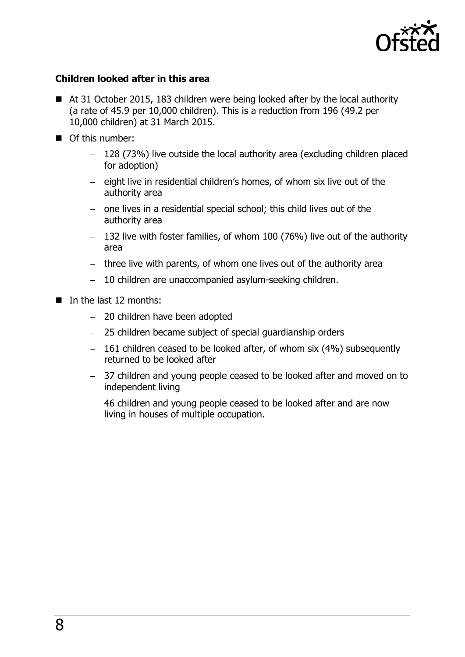

#### **Children looked after in this area**

- At 31 October 2015, 183 children were being looked after by the local authority (a rate of 45.9 per 10,000 children). This is a reduction from 196 (49.2 per 10,000 children) at 31 March 2015.
- Of this number:
	- 128 (73%) live outside the local authority area (excluding children placed for adoption)
	- $-$  eight live in residential children's homes, of whom six live out of the authority area
	- one lives in a residential special school; this child lives out of the authority area
	- $-$  132 live with foster families, of whom 100 (76%) live out of the authority area
	- $-$  three live with parents, of whom one lives out of the authority area
	- 10 children are unaccompanied asylum-seeking children.
- $\blacksquare$  In the last 12 months:
	- 20 children have been adopted
	- 25 children became subject of special guardianship orders
	- $-161$  children ceased to be looked after, of whom six (4%) subsequently returned to be looked after
	- 37 children and young people ceased to be looked after and moved on to independent living
	- 46 children and young people ceased to be looked after and are now living in houses of multiple occupation.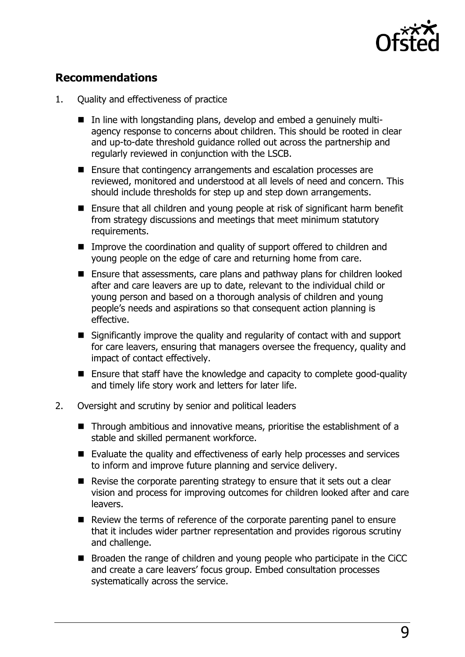

## <span id="page-8-0"></span>**Recommendations**

- 1. Quality and effectiveness of practice
	- In line with longstanding plans, develop and embed a genuinely multiagency response to concerns about children. This should be rooted in clear and up-to-date threshold guidance rolled out across the partnership and regularly reviewed in conjunction with the LSCB.
	- Ensure that contingency arrangements and escalation processes are reviewed, monitored and understood at all levels of need and concern. This should include thresholds for step up and step down arrangements.
	- Ensure that all children and young people at risk of significant harm benefit from strategy discussions and meetings that meet minimum statutory requirements.
	- Improve the coordination and quality of support offered to children and young people on the edge of care and returning home from care.
	- Ensure that assessments, care plans and pathway plans for children looked after and care leavers are up to date, relevant to the individual child or young person and based on a thorough analysis of children and young people's needs and aspirations so that consequent action planning is effective.
	- Significantly improve the quality and regularity of contact with and support for care leavers, ensuring that managers oversee the frequency, quality and impact of contact effectively.
	- Ensure that staff have the knowledge and capacity to complete good-quality and timely life story work and letters for later life.
- 2. Oversight and scrutiny by senior and political leaders
	- Through ambitious and innovative means, prioritise the establishment of a stable and skilled permanent workforce.
	- Evaluate the quality and effectiveness of early help processes and services to inform and improve future planning and service delivery.
	- $\blacksquare$  Revise the corporate parenting strategy to ensure that it sets out a clear vision and process for improving outcomes for children looked after and care leavers.
	- Review the terms of reference of the corporate parenting panel to ensure that it includes wider partner representation and provides rigorous scrutiny and challenge.
	- Broaden the range of children and young people who participate in the CiCC and create a care leavers' focus group. Embed consultation processes systematically across the service.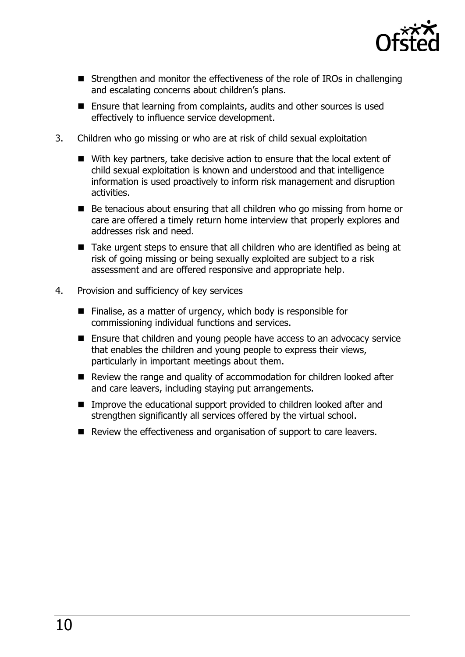

- Strengthen and monitor the effectiveness of the role of IROs in challenging and escalating concerns about children's plans.
- Ensure that learning from complaints, audits and other sources is used effectively to influence service development.
- 3. Children who go missing or who are at risk of child sexual exploitation
	- With key partners, take decisive action to ensure that the local extent of child sexual exploitation is known and understood and that intelligence information is used proactively to inform risk management and disruption activities.
	- Be tenacious about ensuring that all children who go missing from home or care are offered a timely return home interview that properly explores and addresses risk and need.
	- Take urgent steps to ensure that all children who are identified as being at risk of going missing or being sexually exploited are subject to a risk assessment and are offered responsive and appropriate help.
- <span id="page-9-0"></span>4. Provision and sufficiency of key services
	- $\blacksquare$  Finalise, as a matter of urgency, which body is responsible for commissioning individual functions and services.
	- Ensure that children and young people have access to an advocacy service that enables the children and young people to express their views, particularly in important meetings about them.
	- Review the range and quality of accommodation for children looked after and care leavers, including staying put arrangements.
	- Improve the educational support provided to children looked after and strengthen significantly all services offered by the virtual school.
	- Review the effectiveness and organisation of support to care leavers.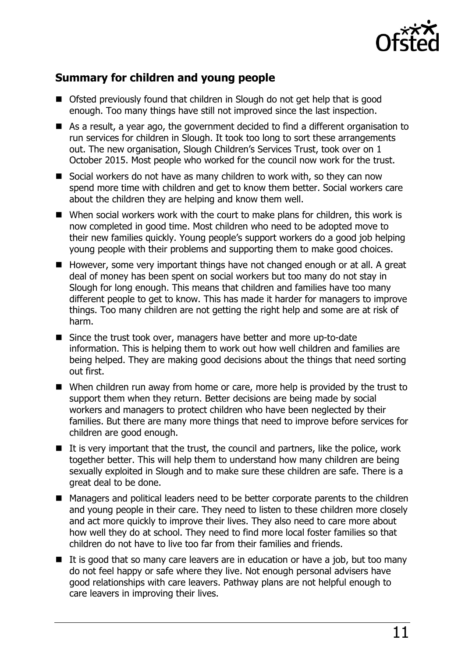

## **Summary for children and young people**

- Ofsted previously found that children in Slough do not get help that is good enough. Too many things have still not improved since the last inspection.
- As a result, a year ago, the government decided to find a different organisation to run services for children in Slough. It took too long to sort these arrangements out. The new organisation, Slough Children's Services Trust, took over on 1 October 2015. Most people who worked for the council now work for the trust.
- Social workers do not have as many children to work with, so they can now spend more time with children and get to know them better. Social workers care about the children they are helping and know them well.
- When social workers work with the court to make plans for children, this work is now completed in good time. Most children who need to be adopted move to their new families quickly. Young people's support workers do a good job helping young people with their problems and supporting them to make good choices.
- However, some very important things have not changed enough or at all. A great deal of money has been spent on social workers but too many do not stay in Slough for long enough. This means that children and families have too many different people to get to know. This has made it harder for managers to improve things. Too many children are not getting the right help and some are at risk of harm.
- Since the trust took over, managers have better and more up-to-date information. This is helping them to work out how well children and families are being helped. They are making good decisions about the things that need sorting out first.
- When children run away from home or care, more help is provided by the trust to support them when they return. Better decisions are being made by social workers and managers to protect children who have been neglected by their families. But there are many more things that need to improve before services for children are good enough.
- $\blacksquare$  It is very important that the trust, the council and partners, like the police, work together better. This will help them to understand how many children are being sexually exploited in Slough and to make sure these children are safe. There is a great deal to be done.
- Managers and political leaders need to be better corporate parents to the children and young people in their care. They need to listen to these children more closely and act more quickly to improve their lives. They also need to care more about how well they do at school. They need to find more local foster families so that children do not have to live too far from their families and friends.
- $\blacksquare$  It is good that so many care leavers are in education or have a job, but too many do not feel happy or safe where they live. Not enough personal advisers have good relationships with care leavers. Pathway plans are not helpful enough to care leavers in improving their lives.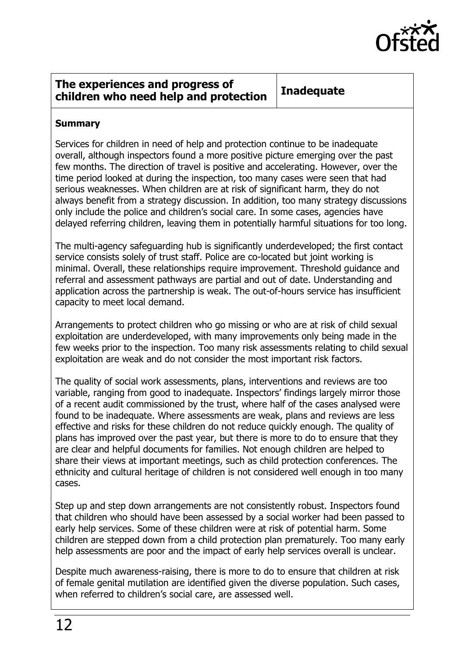

#### <span id="page-11-0"></span>**The experiences and progress of children who need help and protection Inadequate**

#### **Summary**

Services for children in need of help and protection continue to be inadequate overall, although inspectors found a more positive picture emerging over the past few months. The direction of travel is positive and accelerating. However, over the time period looked at during the inspection, too many cases were seen that had serious weaknesses. When children are at risk of significant harm, they do not always benefit from a strategy discussion. In addition, too many strategy discussions only include the police and children's social care. In some cases, agencies have delayed referring children, leaving them in potentially harmful situations for too long.

The multi-agency safeguarding hub is significantly underdeveloped; the first contact service consists solely of trust staff. Police are co-located but joint working is minimal. Overall, these relationships require improvement. Threshold guidance and referral and assessment pathways are partial and out of date. Understanding and application across the partnership is weak. The out-of-hours service has insufficient capacity to meet local demand.

Arrangements to protect children who go missing or who are at risk of child sexual exploitation are underdeveloped, with many improvements only being made in the few weeks prior to the inspection. Too many risk assessments relating to child sexual exploitation are weak and do not consider the most important risk factors.

The quality of social work assessments, plans, interventions and reviews are too variable, ranging from good to inadequate. Inspectors' findings largely mirror those of a recent audit commissioned by the trust, where half of the cases analysed were found to be inadequate. Where assessments are weak, plans and reviews are less effective and risks for these children do not reduce quickly enough. The quality of plans has improved over the past year, but there is more to do to ensure that they are clear and helpful documents for families. Not enough children are helped to share their views at important meetings, such as child protection conferences. The ethnicity and cultural heritage of children is not considered well enough in too many cases.

Step up and step down arrangements are not consistently robust. Inspectors found that children who should have been assessed by a social worker had been passed to early help services. Some of these children were at risk of potential harm. Some children are stepped down from a child protection plan prematurely. Too many early help assessments are poor and the impact of early help services overall is unclear.

Despite much awareness-raising, there is more to do to ensure that children at risk of female genital mutilation are identified given the diverse population. Such cases, when referred to children's social care, are assessed well.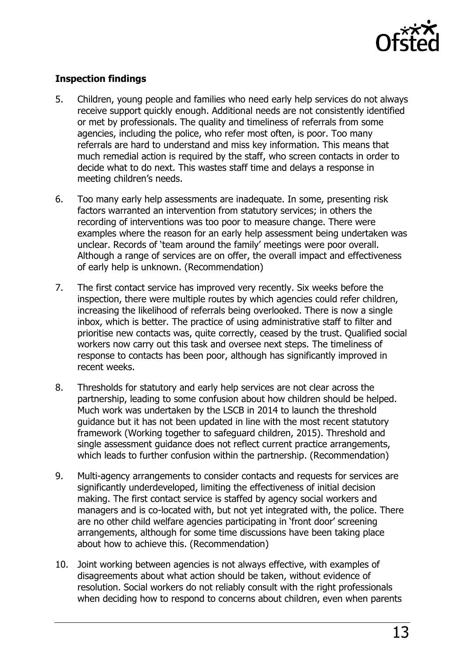

#### **Inspection findings**

- 5. Children, young people and families who need early help services do not always receive support quickly enough. Additional needs are not consistently identified or met by professionals. The quality and timeliness of referrals from some agencies, including the police, who refer most often, is poor. Too many referrals are hard to understand and miss key information. This means that much remedial action is required by the staff, who screen contacts in order to decide what to do next. This wastes staff time and delays a response in meeting children's needs.
- 6. Too many early help assessments are inadequate. In some, presenting risk factors warranted an intervention from statutory services; in others the recording of interventions was too poor to measure change. There were examples where the reason for an early help assessment being undertaken was unclear. Records of 'team around the family' meetings were poor overall. Although a range of services are on offer, the overall impact and effectiveness of early help is unknown. (Recommendation)
- 7. The first contact service has improved very recently. Six weeks before the inspection, there were multiple routes by which agencies could refer children, increasing the likelihood of referrals being overlooked. There is now a single inbox, which is better. The practice of using administrative staff to filter and prioritise new contacts was, quite correctly, ceased by the trust. Qualified social workers now carry out this task and oversee next steps. The timeliness of response to contacts has been poor, although has significantly improved in recent weeks.
- 8. Thresholds for statutory and early help services are not clear across the partnership, leading to some confusion about how children should be helped. Much work was undertaken by the LSCB in 2014 to launch the threshold guidance but it has not been updated in line with the most recent statutory framework (Working together to safeguard children, 2015). Threshold and single assessment guidance does not reflect current practice arrangements, which leads to further confusion within the partnership. (Recommendation)
- 9. Multi-agency arrangements to consider contacts and requests for services are significantly underdeveloped, limiting the effectiveness of initial decision making. The first contact service is staffed by agency social workers and managers and is co-located with, but not yet integrated with, the police. There are no other child welfare agencies participating in 'front door' screening arrangements, although for some time discussions have been taking place about how to achieve this. (Recommendation)
- 10. Joint working between agencies is not always effective, with examples of disagreements about what action should be taken, without evidence of resolution. Social workers do not reliably consult with the right professionals when deciding how to respond to concerns about children, even when parents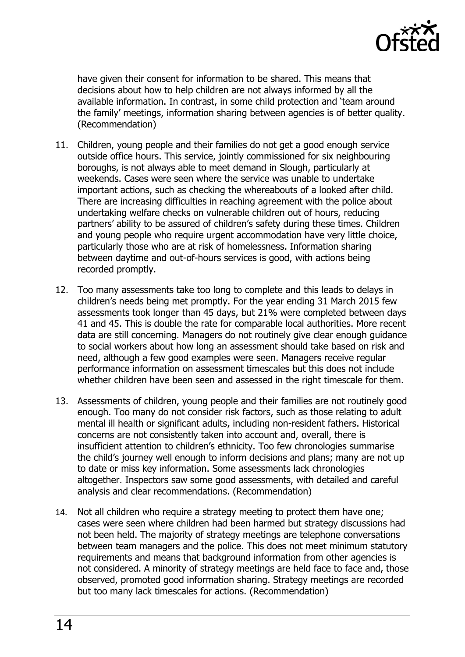

have given their consent for information to be shared. This means that decisions about how to help children are not always informed by all the available information. In contrast, in some child protection and 'team around the family' meetings, information sharing between agencies is of better quality. (Recommendation)

- 11. Children, young people and their families do not get a good enough service outside office hours. This service, jointly commissioned for six neighbouring boroughs, is not always able to meet demand in Slough, particularly at weekends. Cases were seen where the service was unable to undertake important actions, such as checking the whereabouts of a looked after child. There are increasing difficulties in reaching agreement with the police about undertaking welfare checks on vulnerable children out of hours, reducing partners' ability to be assured of children's safety during these times. Children and young people who require urgent accommodation have very little choice, particularly those who are at risk of homelessness. Information sharing between daytime and out-of-hours services is good, with actions being recorded promptly.
- 12. Too many assessments take too long to complete and this leads to delays in children's needs being met promptly. For the year ending 31 March 2015 few assessments took longer than 45 days, but 21% were completed between days 41 and 45. This is double the rate for comparable local authorities. More recent data are still concerning. Managers do not routinely give clear enough guidance to social workers about how long an assessment should take based on risk and need, although a few good examples were seen. Managers receive regular performance information on assessment timescales but this does not include whether children have been seen and assessed in the right timescale for them.
- 13. Assessments of children, young people and their families are not routinely good enough. Too many do not consider risk factors, such as those relating to adult mental ill health or significant adults, including non-resident fathers. Historical concerns are not consistently taken into account and, overall, there is insufficient attention to children's ethnicity. Too few chronologies summarise the child's journey well enough to inform decisions and plans; many are not up to date or miss key information. Some assessments lack chronologies altogether. Inspectors saw some good assessments, with detailed and careful analysis and clear recommendations. (Recommendation)
- 14. Not all children who require a strategy meeting to protect them have one; cases were seen where children had been harmed but strategy discussions had not been held. The majority of strategy meetings are telephone conversations between team managers and the police. This does not meet minimum statutory requirements and means that background information from other agencies is not considered. A minority of strategy meetings are held face to face and, those observed, promoted good information sharing. Strategy meetings are recorded but too many lack timescales for actions. (Recommendation)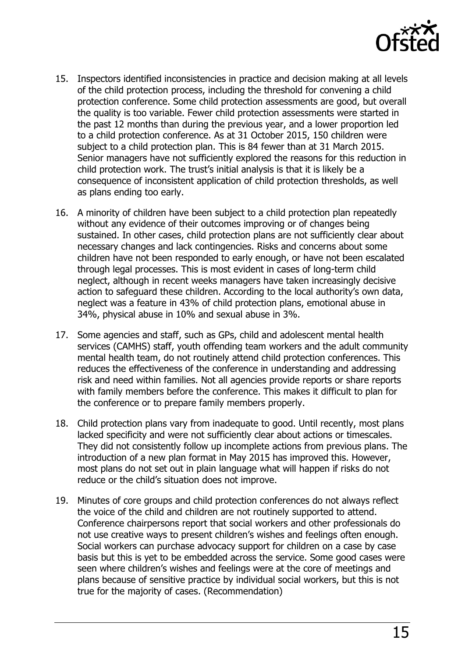

- 15. Inspectors identified inconsistencies in practice and decision making at all levels of the child protection process, including the threshold for convening a child protection conference. Some child protection assessments are good, but overall the quality is too variable. Fewer child protection assessments were started in the past 12 months than during the previous year, and a lower proportion led to a child protection conference. As at 31 October 2015, 150 children were subject to a child protection plan. This is 84 fewer than at 31 March 2015. Senior managers have not sufficiently explored the reasons for this reduction in child protection work. The trust's initial analysis is that it is likely be a consequence of inconsistent application of child protection thresholds, as well as plans ending too early.
- 16. A minority of children have been subject to a child protection plan repeatedly without any evidence of their outcomes improving or of changes being sustained. In other cases, child protection plans are not sufficiently clear about necessary changes and lack contingencies. Risks and concerns about some children have not been responded to early enough, or have not been escalated through legal processes. This is most evident in cases of long-term child neglect, although in recent weeks managers have taken increasingly decisive action to safeguard these children. According to the local authority's own data, neglect was a feature in 43% of child protection plans, emotional abuse in 34%, physical abuse in 10% and sexual abuse in 3%.
- 17. Some agencies and staff, such as GPs, child and adolescent mental health services (CAMHS) staff, youth offending team workers and the adult community mental health team, do not routinely attend child protection conferences. This reduces the effectiveness of the conference in understanding and addressing risk and need within families. Not all agencies provide reports or share reports with family members before the conference. This makes it difficult to plan for the conference or to prepare family members properly.
- 18. Child protection plans vary from inadequate to good. Until recently, most plans lacked specificity and were not sufficiently clear about actions or timescales. They did not consistently follow up incomplete actions from previous plans. The introduction of a new plan format in May 2015 has improved this. However, most plans do not set out in plain language what will happen if risks do not reduce or the child's situation does not improve.
- 19. Minutes of core groups and child protection conferences do not always reflect the voice of the child and children are not routinely supported to attend. Conference chairpersons report that social workers and other professionals do not use creative ways to present children's wishes and feelings often enough. Social workers can purchase advocacy support for children on a case by case basis but this is yet to be embedded across the service. Some good cases were seen where children's wishes and feelings were at the core of meetings and plans because of sensitive practice by individual social workers, but this is not true for the majority of cases. (Recommendation)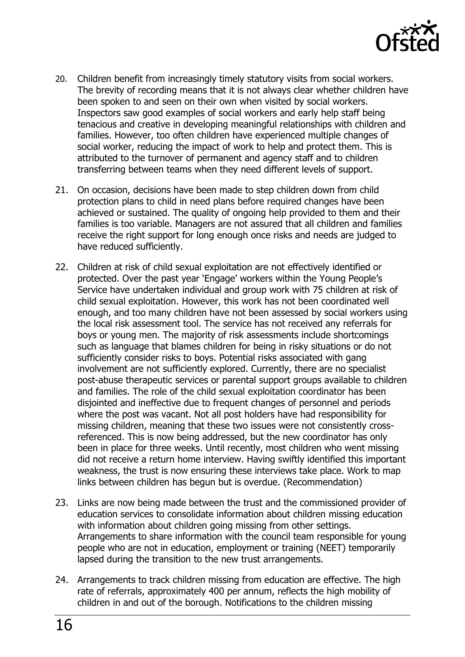

- 20. Children benefit from increasingly timely statutory visits from social workers. The brevity of recording means that it is not always clear whether children have been spoken to and seen on their own when visited by social workers. Inspectors saw good examples of social workers and early help staff being tenacious and creative in developing meaningful relationships with children and families. However, too often children have experienced multiple changes of social worker, reducing the impact of work to help and protect them. This is attributed to the turnover of permanent and agency staff and to children transferring between teams when they need different levels of support.
- 21. On occasion, decisions have been made to step children down from child protection plans to child in need plans before required changes have been achieved or sustained. The quality of ongoing help provided to them and their families is too variable. Managers are not assured that all children and families receive the right support for long enough once risks and needs are judged to have reduced sufficiently.
- 22. Children at risk of child sexual exploitation are not effectively identified or protected. Over the past year 'Engage' workers within the Young People's Service have undertaken individual and group work with 75 children at risk of child sexual exploitation. However, this work has not been coordinated well enough, and too many children have not been assessed by social workers using the local risk assessment tool. The service has not received any referrals for boys or young men. The majority of risk assessments include shortcomings such as language that blames children for being in risky situations or do not sufficiently consider risks to boys. Potential risks associated with gang involvement are not sufficiently explored. Currently, there are no specialist post-abuse therapeutic services or parental support groups available to children and families. The role of the child sexual exploitation coordinator has been disjointed and ineffective due to frequent changes of personnel and periods where the post was vacant. Not all post holders have had responsibility for missing children, meaning that these two issues were not consistently crossreferenced. This is now being addressed, but the new coordinator has only been in place for three weeks. Until recently, most children who went missing did not receive a return home interview. Having swiftly identified this important weakness, the trust is now ensuring these interviews take place. Work to map links between children has begun but is overdue. (Recommendation)
- 23. Links are now being made between the trust and the commissioned provider of education services to consolidate information about children missing education with information about children going missing from other settings. Arrangements to share information with the council team responsible for young people who are not in education, employment or training (NEET) temporarily lapsed during the transition to the new trust arrangements.
- 24. Arrangements to track children missing from education are effective. The high rate of referrals, approximately 400 per annum, reflects the high mobility of children in and out of the borough. Notifications to the children missing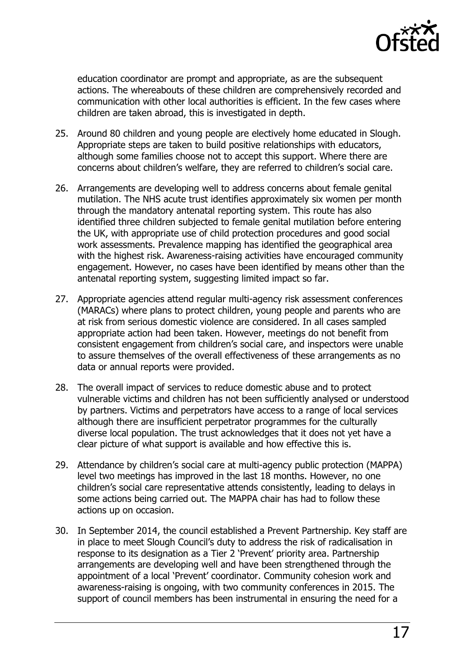

education coordinator are prompt and appropriate, as are the subsequent actions. The whereabouts of these children are comprehensively recorded and communication with other local authorities is efficient. In the few cases where children are taken abroad, this is investigated in depth.

- 25. Around 80 children and young people are electively home educated in Slough. Appropriate steps are taken to build positive relationships with educators, although some families choose not to accept this support. Where there are concerns about children's welfare, they are referred to children's social care.
- 26. Arrangements are developing well to address concerns about female genital mutilation. The NHS acute trust identifies approximately six women per month through the mandatory antenatal reporting system. This route has also identified three children subjected to female genital mutilation before entering the UK, with appropriate use of child protection procedures and good social work assessments. Prevalence mapping has identified the geographical area with the highest risk. Awareness-raising activities have encouraged community engagement. However, no cases have been identified by means other than the antenatal reporting system, suggesting limited impact so far.
- 27. Appropriate agencies attend regular multi-agency risk assessment conferences (MARACs) where plans to protect children, young people and parents who are at risk from serious domestic violence are considered. In all cases sampled appropriate action had been taken. However, meetings do not benefit from consistent engagement from children's social care, and inspectors were unable to assure themselves of the overall effectiveness of these arrangements as no data or annual reports were provided.
- 28. The overall impact of services to reduce domestic abuse and to protect vulnerable victims and children has not been sufficiently analysed or understood by partners. Victims and perpetrators have access to a range of local services although there are insufficient perpetrator programmes for the culturally diverse local population. The trust acknowledges that it does not yet have a clear picture of what support is available and how effective this is.
- 29. Attendance by children's social care at multi-agency public protection (MAPPA) level two meetings has improved in the last 18 months. However, no one children's social care representative attends consistently, leading to delays in some actions being carried out. The MAPPA chair has had to follow these actions up on occasion.
- 30. In September 2014, the council established a Prevent Partnership. Key staff are in place to meet Slough Council's duty to address the risk of radicalisation in response to its designation as a Tier 2 'Prevent' priority area. Partnership arrangements are developing well and have been strengthened through the appointment of a local 'Prevent' coordinator. Community cohesion work and awareness-raising is ongoing, with two community conferences in 2015. The support of council members has been instrumental in ensuring the need for a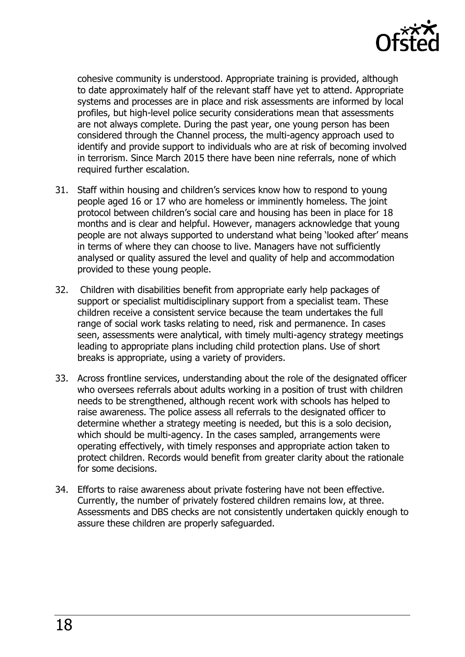

cohesive community is understood. Appropriate training is provided, although to date approximately half of the relevant staff have yet to attend. Appropriate systems and processes are in place and risk assessments are informed by local profiles, but high-level police security considerations mean that assessments are not always complete. During the past year, one young person has been considered through the Channel process, the multi-agency approach used to identify and provide support to individuals who are at risk of becoming involved in terrorism. Since March 2015 there have been nine referrals, none of which required further escalation.

- 31. Staff within housing and children's services know how to respond to young people aged 16 or 17 who are homeless or imminently homeless. The joint protocol between children's social care and housing has been in place for 18 months and is clear and helpful. However, managers acknowledge that young people are not always supported to understand what being 'looked after' means in terms of where they can choose to live. Managers have not sufficiently analysed or quality assured the level and quality of help and accommodation provided to these young people.
- 32. Children with disabilities benefit from appropriate early help packages of support or specialist multidisciplinary support from a specialist team. These children receive a consistent service because the team undertakes the full range of social work tasks relating to need, risk and permanence. In cases seen, assessments were analytical, with timely multi-agency strategy meetings leading to appropriate plans including child protection plans. Use of short breaks is appropriate, using a variety of providers.
- 33. Across frontline services, understanding about the role of the designated officer who oversees referrals about adults working in a position of trust with children needs to be strengthened, although recent work with schools has helped to raise awareness. The police assess all referrals to the designated officer to determine whether a strategy meeting is needed, but this is a solo decision, which should be multi-agency. In the cases sampled, arrangements were operating effectively, with timely responses and appropriate action taken to protect children. Records would benefit from greater clarity about the rationale for some decisions.
- 34. Efforts to raise awareness about private fostering have not been effective. Currently, the number of privately fostered children remains low, at three. Assessments and DBS checks are not consistently undertaken quickly enough to assure these children are properly safeguarded.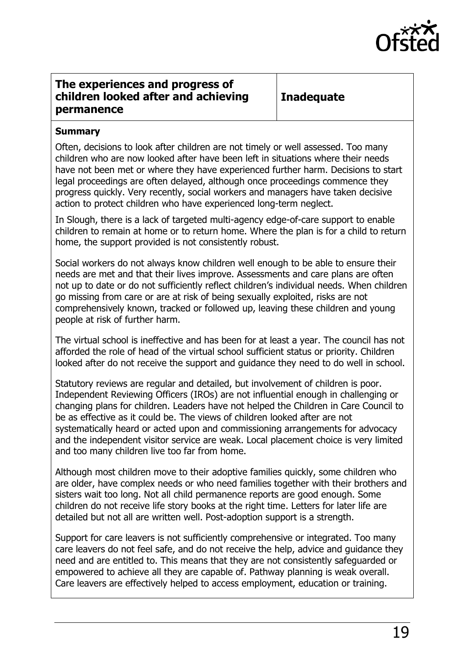

#### <span id="page-18-0"></span>**The experiences and progress of children looked after and achieving permanence**

**Inadequate**

#### **Summary**

Often, decisions to look after children are not timely or well assessed. Too many children who are now looked after have been left in situations where their needs have not been met or where they have experienced further harm. Decisions to start legal proceedings are often delayed, although once proceedings commence they progress quickly. Very recently, social workers and managers have taken decisive action to protect children who have experienced long-term neglect.

In Slough, there is a lack of targeted multi-agency edge-of-care support to enable children to remain at home or to return home. Where the plan is for a child to return home, the support provided is not consistently robust.

Social workers do not always know children well enough to be able to ensure their needs are met and that their lives improve. Assessments and care plans are often not up to date or do not sufficiently reflect children's individual needs. When children go missing from care or are at risk of being sexually exploited, risks are not comprehensively known, tracked or followed up, leaving these children and young people at risk of further harm.

The virtual school is ineffective and has been for at least a year. The council has not afforded the role of head of the virtual school sufficient status or priority. Children looked after do not receive the support and guidance they need to do well in school.

Statutory reviews are regular and detailed, but involvement of children is poor. Independent Reviewing Officers (IROs) are not influential enough in challenging or changing plans for children. Leaders have not helped the Children in Care Council to be as effective as it could be. The views of children looked after are not systematically heard or acted upon and commissioning arrangements for advocacy and the independent visitor service are weak. Local placement choice is very limited and too many children live too far from home.

Although most children move to their adoptive families quickly, some children who are older, have complex needs or who need families together with their brothers and sisters wait too long. Not all child permanence reports are good enough. Some children do not receive life story books at the right time. Letters for later life are detailed but not all are written well. Post-adoption support is a strength.

Support for care leavers is not sufficiently comprehensive or integrated. Too many care leavers do not feel safe, and do not receive the help, advice and guidance they need and are entitled to. This means that they are not consistently safeguarded or empowered to achieve all they are capable of. Pathway planning is weak overall. Care leavers are effectively helped to access employment, education or training.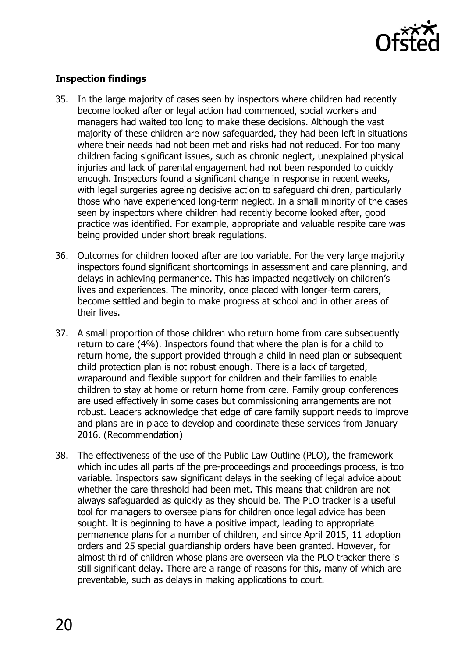

#### **Inspection findings**

- 35. In the large majority of cases seen by inspectors where children had recently become looked after or legal action had commenced, social workers and managers had waited too long to make these decisions. Although the vast majority of these children are now safeguarded, they had been left in situations where their needs had not been met and risks had not reduced. For too many children facing significant issues, such as chronic neglect, unexplained physical injuries and lack of parental engagement had not been responded to quickly enough. Inspectors found a significant change in response in recent weeks, with legal surgeries agreeing decisive action to safeguard children, particularly those who have experienced long-term neglect. In a small minority of the cases seen by inspectors where children had recently become looked after, good practice was identified. For example, appropriate and valuable respite care was being provided under short break regulations.
- 36. Outcomes for children looked after are too variable. For the very large majority inspectors found significant shortcomings in assessment and care planning, and delays in achieving permanence. This has impacted negatively on children's lives and experiences. The minority, once placed with longer-term carers, become settled and begin to make progress at school and in other areas of their lives.
- 37. A small proportion of those children who return home from care subsequently return to care (4%). Inspectors found that where the plan is for a child to return home, the support provided through a child in need plan or subsequent child protection plan is not robust enough. There is a lack of targeted, wraparound and flexible support for children and their families to enable children to stay at home or return home from care. Family group conferences are used effectively in some cases but commissioning arrangements are not robust. Leaders acknowledge that edge of care family support needs to improve and plans are in place to develop and coordinate these services from January 2016. (Recommendation)
- 38. The effectiveness of the use of the Public Law Outline (PLO), the framework which includes all parts of the pre-proceedings and proceedings process, is too variable. Inspectors saw significant delays in the seeking of legal advice about whether the care threshold had been met. This means that children are not always safeguarded as quickly as they should be. The PLO tracker is a useful tool for managers to oversee plans for children once legal advice has been sought. It is beginning to have a positive impact, leading to appropriate permanence plans for a number of children, and since April 2015, 11 adoption orders and 25 special guardianship orders have been granted. However, for almost third of children whose plans are overseen via the PLO tracker there is still significant delay. There are a range of reasons for this, many of which are preventable, such as delays in making applications to court.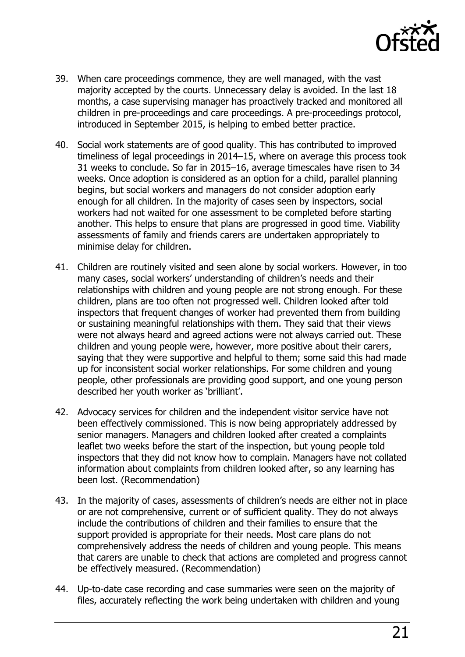

- 39. When care proceedings commence, they are well managed, with the vast majority accepted by the courts. Unnecessary delay is avoided. In the last 18 months, a case supervising manager has proactively tracked and monitored all children in pre-proceedings and care proceedings. A pre-proceedings protocol, introduced in September 2015, is helping to embed better practice.
- 40. Social work statements are of good quality. This has contributed to improved timeliness of legal proceedings in 2014–15, where on average this process took 31 weeks to conclude. So far in 2015–16, average timescales have risen to 34 weeks. Once adoption is considered as an option for a child, parallel planning begins, but social workers and managers do not consider adoption early enough for all children. In the majority of cases seen by inspectors, social workers had not waited for one assessment to be completed before starting another. This helps to ensure that plans are progressed in good time. Viability assessments of family and friends carers are undertaken appropriately to minimise delay for children.
- 41. Children are routinely visited and seen alone by social workers. However, in too many cases, social workers' understanding of children's needs and their relationships with children and young people are not strong enough. For these children, plans are too often not progressed well. Children looked after told inspectors that frequent changes of worker had prevented them from building or sustaining meaningful relationships with them. They said that their views were not always heard and agreed actions were not always carried out. These children and young people were, however, more positive about their carers, saying that they were supportive and helpful to them; some said this had made up for inconsistent social worker relationships. For some children and young people, other professionals are providing good support, and one young person described her youth worker as 'brilliant'.
- 42. Advocacy services for children and the independent visitor service have not been effectively commissioned. This is now being appropriately addressed by senior managers. Managers and children looked after created a complaints leaflet two weeks before the start of the inspection, but young people told inspectors that they did not know how to complain. Managers have not collated information about complaints from children looked after, so any learning has been lost. (Recommendation)
- 43. In the majority of cases, assessments of children's needs are either not in place or are not comprehensive, current or of sufficient quality. They do not always include the contributions of children and their families to ensure that the support provided is appropriate for their needs. Most care plans do not comprehensively address the needs of children and young people. This means that carers are unable to check that actions are completed and progress cannot be effectively measured. (Recommendation)
- 44. Up-to-date case recording and case summaries were seen on the majority of files, accurately reflecting the work being undertaken with children and young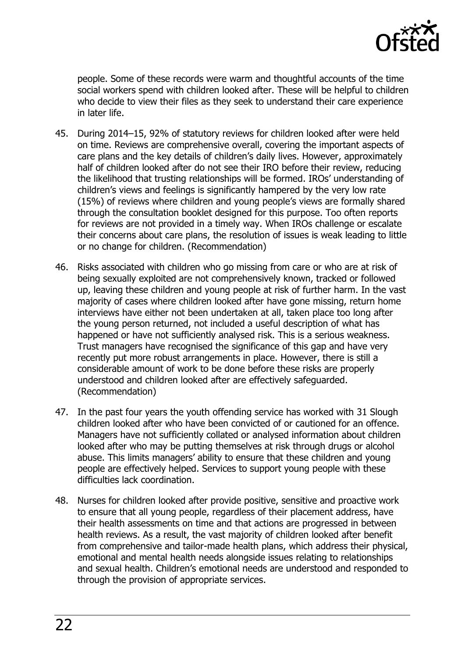

people. Some of these records were warm and thoughtful accounts of the time social workers spend with children looked after. These will be helpful to children who decide to view their files as they seek to understand their care experience in later life.

- 45. During 2014–15, 92% of statutory reviews for children looked after were held on time. Reviews are comprehensive overall, covering the important aspects of care plans and the key details of children's daily lives. However, approximately half of children looked after do not see their IRO before their review, reducing the likelihood that trusting relationships will be formed. IROs' understanding of children's views and feelings is significantly hampered by the very low rate (15%) of reviews where children and young people's views are formally shared through the consultation booklet designed for this purpose. Too often reports for reviews are not provided in a timely way. When IROs challenge or escalate their concerns about care plans, the resolution of issues is weak leading to little or no change for children. (Recommendation)
- 46. Risks associated with children who go missing from care or who are at risk of being sexually exploited are not comprehensively known, tracked or followed up, leaving these children and young people at risk of further harm. In the vast majority of cases where children looked after have gone missing, return home interviews have either not been undertaken at all, taken place too long after the young person returned, not included a useful description of what has happened or have not sufficiently analysed risk. This is a serious weakness. Trust managers have recognised the significance of this gap and have very recently put more robust arrangements in place. However, there is still a considerable amount of work to be done before these risks are properly understood and children looked after are effectively safeguarded. (Recommendation)
- 47. In the past four years the youth offending service has worked with 31 Slough children looked after who have been convicted of or cautioned for an offence. Managers have not sufficiently collated or analysed information about children looked after who may be putting themselves at risk through drugs or alcohol abuse. This limits managers' ability to ensure that these children and young people are effectively helped. Services to support young people with these difficulties lack coordination.
- 48. Nurses for children looked after provide positive, sensitive and proactive work to ensure that all young people, regardless of their placement address, have their health assessments on time and that actions are progressed in between health reviews. As a result, the vast majority of children looked after benefit from comprehensive and tailor-made health plans, which address their physical, emotional and mental health needs alongside issues relating to relationships and sexual health. Children's emotional needs are understood and responded to through the provision of appropriate services.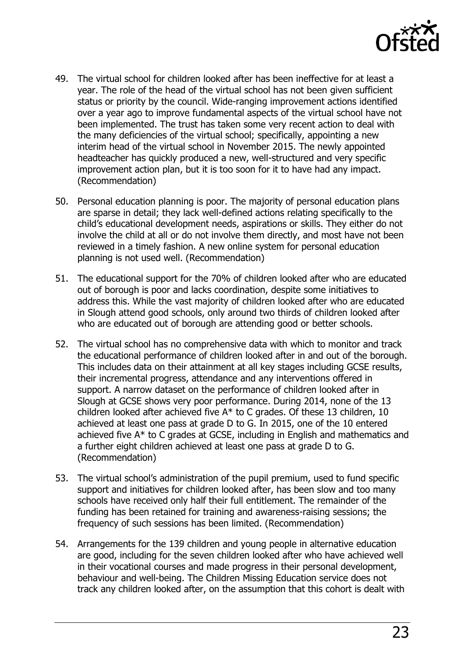

- 49. The virtual school for children looked after has been ineffective for at least a year. The role of the head of the virtual school has not been given sufficient status or priority by the council. Wide-ranging improvement actions identified over a year ago to improve fundamental aspects of the virtual school have not been implemented. The trust has taken some very recent action to deal with the many deficiencies of the virtual school; specifically, appointing a new interim head of the virtual school in November 2015. The newly appointed headteacher has quickly produced a new, well-structured and very specific improvement action plan, but it is too soon for it to have had any impact. (Recommendation)
- 50. Personal education planning is poor. The majority of personal education plans are sparse in detail; they lack well-defined actions relating specifically to the child's educational development needs, aspirations or skills. They either do not involve the child at all or do not involve them directly, and most have not been reviewed in a timely fashion. A new online system for personal education planning is not used well. (Recommendation)
- 51. The educational support for the 70% of children looked after who are educated out of borough is poor and lacks coordination, despite some initiatives to address this. While the vast majority of children looked after who are educated in Slough attend good schools, only around two thirds of children looked after who are educated out of borough are attending good or better schools.
- 52. The virtual school has no comprehensive data with which to monitor and track the educational performance of children looked after in and out of the borough. This includes data on their attainment at all key stages including GCSE results, their incremental progress, attendance and any interventions offered in support. A narrow dataset on the performance of children looked after in Slough at GCSE shows very poor performance. During 2014, none of the 13 children looked after achieved five A\* to C grades. Of these 13 children, 10 achieved at least one pass at grade D to G. In 2015, one of the 10 entered achieved five A\* to C grades at GCSE, including in English and mathematics and a further eight children achieved at least one pass at grade D to G. (Recommendation)
- 53. The virtual school's administration of the pupil premium, used to fund specific support and initiatives for children looked after, has been slow and too many schools have received only half their full entitlement. The remainder of the funding has been retained for training and awareness-raising sessions; the frequency of such sessions has been limited. (Recommendation)
- 54. Arrangements for the 139 children and young people in alternative education are good, including for the seven children looked after who have achieved well in their vocational courses and made progress in their personal development, behaviour and well-being. The Children Missing Education service does not track any children looked after, on the assumption that this cohort is dealt with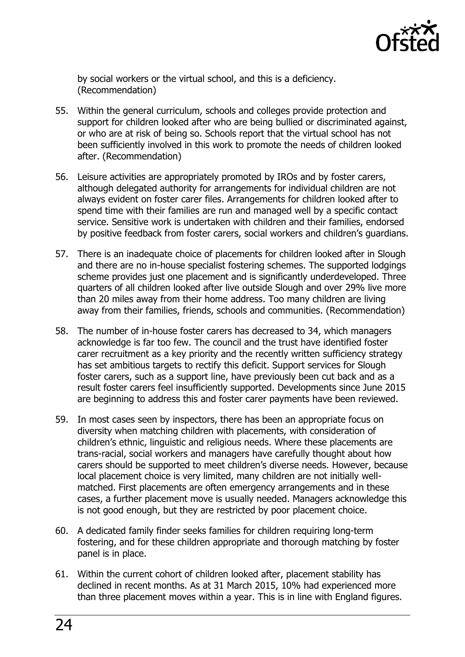

by social workers or the virtual school, and this is a deficiency. (Recommendation)

- 55. Within the general curriculum, schools and colleges provide protection and support for children looked after who are being bullied or discriminated against, or who are at risk of being so. Schools report that the virtual school has not been sufficiently involved in this work to promote the needs of children looked after. (Recommendation)
- 56. Leisure activities are appropriately promoted by IROs and by foster carers, although delegated authority for arrangements for individual children are not always evident on foster carer files. Arrangements for children looked after to spend time with their families are run and managed well by a specific contact service. Sensitive work is undertaken with children and their families, endorsed by positive feedback from foster carers, social workers and children's guardians.
- 57. There is an inadequate choice of placements for children looked after in Slough and there are no in-house specialist fostering schemes. The supported lodgings scheme provides just one placement and is significantly underdeveloped. Three quarters of all children looked after live outside Slough and over 29% live more than 20 miles away from their home address. Too many children are living away from their families, friends, schools and communities. (Recommendation)
- 58. The number of in-house foster carers has decreased to 34, which managers acknowledge is far too few. The council and the trust have identified foster carer recruitment as a key priority and the recently written sufficiency strategy has set ambitious targets to rectify this deficit. Support services for Slough foster carers, such as a support line, have previously been cut back and as a result foster carers feel insufficiently supported. Developments since June 2015 are beginning to address this and foster carer payments have been reviewed.
- 59. In most cases seen by inspectors, there has been an appropriate focus on diversity when matching children with placements, with consideration of children's ethnic, linguistic and religious needs. Where these placements are trans-racial, social workers and managers have carefully thought about how carers should be supported to meet children's diverse needs. However, because local placement choice is very limited, many children are not initially wellmatched. First placements are often emergency arrangements and in these cases, a further placement move is usually needed. Managers acknowledge this is not good enough, but they are restricted by poor placement choice.
- 60. A dedicated family finder seeks families for children requiring long-term fostering, and for these children appropriate and thorough matching by foster panel is in place.
- 61. Within the current cohort of children looked after, placement stability has declined in recent months. As at 31 March 2015, 10% had experienced more than three placement moves within a year. This is in line with England figures.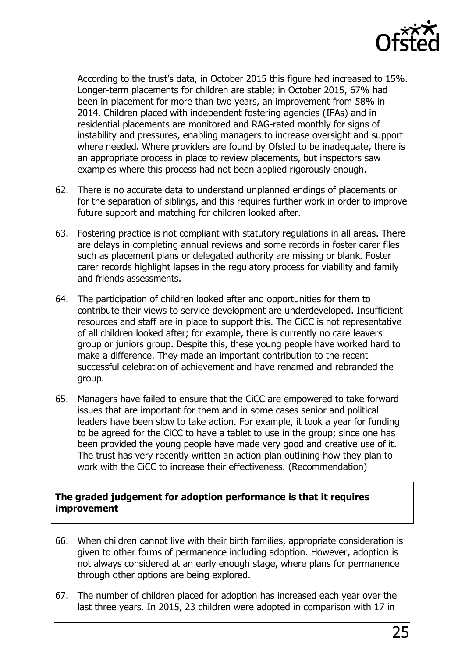

According to the trust's data, in October 2015 this figure had increased to 15%. Longer-term placements for children are stable; in October 2015, 67% had been in placement for more than two years, an improvement from 58% in 2014. Children placed with independent fostering agencies (IFAs) and in residential placements are monitored and RAG-rated monthly for signs of instability and pressures, enabling managers to increase oversight and support where needed. Where providers are found by Ofsted to be inadequate, there is an appropriate process in place to review placements, but inspectors saw examples where this process had not been applied rigorously enough.

- 62. There is no accurate data to understand unplanned endings of placements or for the separation of siblings, and this requires further work in order to improve future support and matching for children looked after.
- 63. Fostering practice is not compliant with statutory regulations in all areas. There are delays in completing annual reviews and some records in foster carer files such as placement plans or delegated authority are missing or blank. Foster carer records highlight lapses in the regulatory process for viability and family and friends assessments.
- 64. The participation of children looked after and opportunities for them to contribute their views to service development are underdeveloped. Insufficient resources and staff are in place to support this. The CiCC is not representative of all children looked after; for example, there is currently no care leavers group or juniors group. Despite this, these young people have worked hard to make a difference. They made an important contribution to the recent successful celebration of achievement and have renamed and rebranded the group.
- 65. Managers have failed to ensure that the CiCC are empowered to take forward issues that are important for them and in some cases senior and political leaders have been slow to take action. For example, it took a year for funding to be agreed for the CiCC to have a tablet to use in the group; since one has been provided the young people have made very good and creative use of it. The trust has very recently written an action plan outlining how they plan to work with the CiCC to increase their effectiveness. (Recommendation)

#### **The graded judgement for adoption performance is that it requires improvement**

- 66. When children cannot live with their birth families, appropriate consideration is given to other forms of permanence including adoption. However, adoption is not always considered at an early enough stage, where plans for permanence through other options are being explored.
- 67. The number of children placed for adoption has increased each year over the last three years. In 2015, 23 children were adopted in comparison with 17 in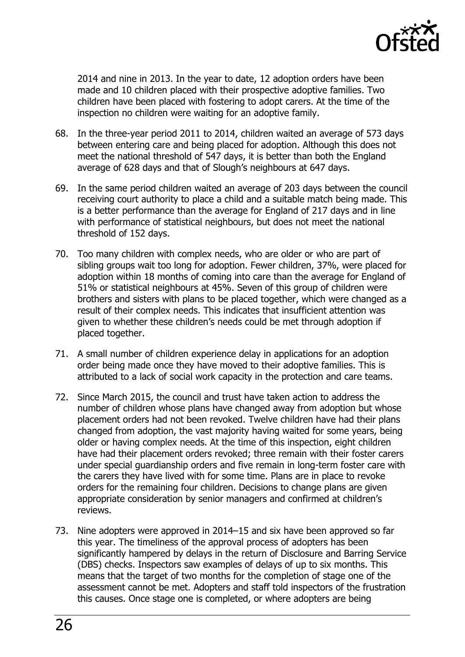

2014 and nine in 2013. In the year to date, 12 adoption orders have been made and 10 children placed with their prospective adoptive families. Two children have been placed with fostering to adopt carers. At the time of the inspection no children were waiting for an adoptive family.

- 68. In the three-year period 2011 to 2014, children waited an average of 573 days between entering care and being placed for adoption. Although this does not meet the national threshold of 547 days, it is better than both the England average of 628 days and that of Slough's neighbours at 647 days.
- 69. In the same period children waited an average of 203 days between the council receiving court authority to place a child and a suitable match being made. This is a better performance than the average for England of 217 days and in line with performance of statistical neighbours, but does not meet the national threshold of 152 days.
- 70. Too many children with complex needs, who are older or who are part of sibling groups wait too long for adoption. Fewer children, 37%, were placed for adoption within 18 months of coming into care than the average for England of 51% or statistical neighbours at 45%. Seven of this group of children were brothers and sisters with plans to be placed together, which were changed as a result of their complex needs. This indicates that insufficient attention was given to whether these children's needs could be met through adoption if placed together.
- 71. A small number of children experience delay in applications for an adoption order being made once they have moved to their adoptive families. This is attributed to a lack of social work capacity in the protection and care teams.
- 72. Since March 2015, the council and trust have taken action to address the number of children whose plans have changed away from adoption but whose placement orders had not been revoked. Twelve children have had their plans changed from adoption, the vast majority having waited for some years, being older or having complex needs. At the time of this inspection, eight children have had their placement orders revoked; three remain with their foster carers under special guardianship orders and five remain in long-term foster care with the carers they have lived with for some time. Plans are in place to revoke orders for the remaining four children. Decisions to change plans are given appropriate consideration by senior managers and confirmed at children's reviews.
- 73. Nine adopters were approved in 2014–15 and six have been approved so far this year. The timeliness of the approval process of adopters has been significantly hampered by delays in the return of Disclosure and Barring Service (DBS) checks. Inspectors saw examples of delays of up to six months. This means that the target of two months for the completion of stage one of the assessment cannot be met. Adopters and staff told inspectors of the frustration this causes. Once stage one is completed, or where adopters are being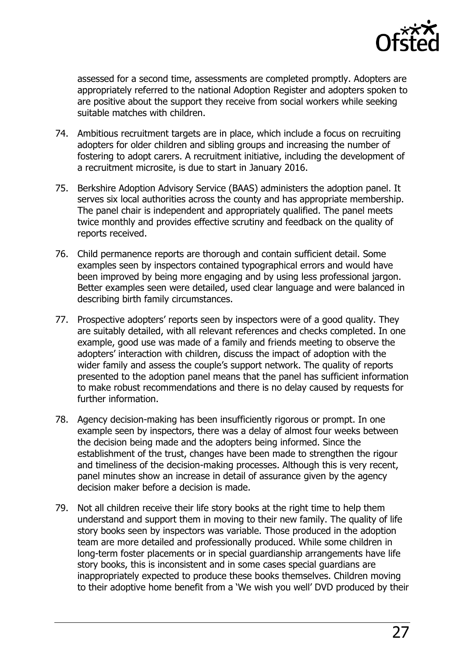

assessed for a second time, assessments are completed promptly. Adopters are appropriately referred to the national Adoption Register and adopters spoken to are positive about the support they receive from social workers while seeking suitable matches with children.

- 74. Ambitious recruitment targets are in place, which include a focus on recruiting adopters for older children and sibling groups and increasing the number of fostering to adopt carers. A recruitment initiative, including the development of a recruitment microsite, is due to start in January 2016.
- 75. Berkshire Adoption Advisory Service (BAAS) administers the adoption panel. It serves six local authorities across the county and has appropriate membership. The panel chair is independent and appropriately qualified. The panel meets twice monthly and provides effective scrutiny and feedback on the quality of reports received.
- 76. Child permanence reports are thorough and contain sufficient detail. Some examples seen by inspectors contained typographical errors and would have been improved by being more engaging and by using less professional jargon. Better examples seen were detailed, used clear language and were balanced in describing birth family circumstances.
- 77. Prospective adopters' reports seen by inspectors were of a good quality. They are suitably detailed, with all relevant references and checks completed. In one example, good use was made of a family and friends meeting to observe the adopters' interaction with children, discuss the impact of adoption with the wider family and assess the couple's support network. The quality of reports presented to the adoption panel means that the panel has sufficient information to make robust recommendations and there is no delay caused by requests for further information.
- 78. Agency decision-making has been insufficiently rigorous or prompt. In one example seen by inspectors, there was a delay of almost four weeks between the decision being made and the adopters being informed. Since the establishment of the trust, changes have been made to strengthen the rigour and timeliness of the decision-making processes. Although this is very recent, panel minutes show an increase in detail of assurance given by the agency decision maker before a decision is made.
- 79. Not all children receive their life story books at the right time to help them understand and support them in moving to their new family. The quality of life story books seen by inspectors was variable. Those produced in the adoption team are more detailed and professionally produced. While some children in long-term foster placements or in special guardianship arrangements have life story books, this is inconsistent and in some cases special guardians are inappropriately expected to produce these books themselves. Children moving to their adoptive home benefit from a 'We wish you well' DVD produced by their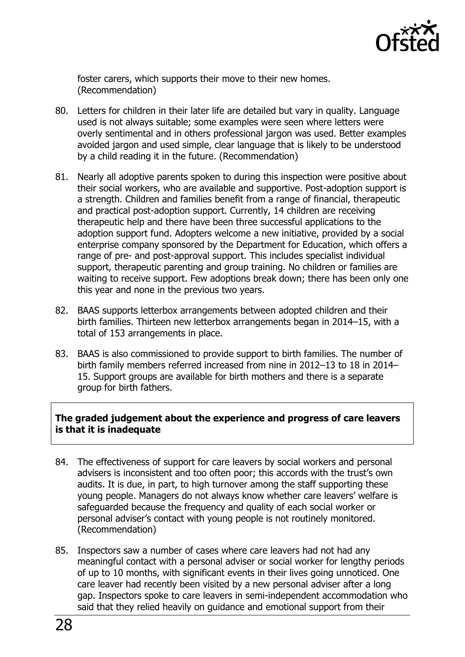

foster carers, which supports their move to their new homes. (Recommendation)

- 80. Letters for children in their later life are detailed but vary in quality. Language used is not always suitable; some examples were seen where letters were overly sentimental and in others professional jargon was used. Better examples avoided jargon and used simple, clear language that is likely to be understood by a child reading it in the future. (Recommendation)
- 81. Nearly all adoptive parents spoken to during this inspection were positive about their social workers, who are available and supportive. Post-adoption support is a strength. Children and families benefit from a range of financial, therapeutic and practical post-adoption support. Currently, 14 children are receiving therapeutic help and there have been three successful applications to the adoption support fund. Adopters welcome a new initiative, provided by a social enterprise company sponsored by the Department for Education, which offers a range of pre- and post-approval support. This includes specialist individual support, therapeutic parenting and group training. No children or families are waiting to receive support. Few adoptions break down; there has been only one this year and none in the previous two years.
- 82. BAAS supports letterbox arrangements between adopted children and their birth families. Thirteen new letterbox arrangements began in 2014–15, with a total of 153 arrangements in place.
- 83. BAAS is also commissioned to provide support to birth families. The number of birth family members referred increased from nine in 2012–13 to 18 in 2014– 15. Support groups are available for birth mothers and there is a separate group for birth fathers.

#### **The graded judgement about the experience and progress of care leavers is that it is inadequate**

- 84. The effectiveness of support for care leavers by social workers and personal advisers is inconsistent and too often poor; this accords with the trust's own audits. It is due, in part, to high turnover among the staff supporting these young people. Managers do not always know whether care leavers' welfare is safeguarded because the frequency and quality of each social worker or personal adviser's contact with young people is not routinely monitored. (Recommendation)
- 85. Inspectors saw a number of cases where care leavers had not had any meaningful contact with a personal adviser or social worker for lengthy periods of up to 10 months, with significant events in their lives going unnoticed. One care leaver had recently been visited by a new personal adviser after a long gap. Inspectors spoke to care leavers in semi-independent accommodation who said that they relied heavily on guidance and emotional support from their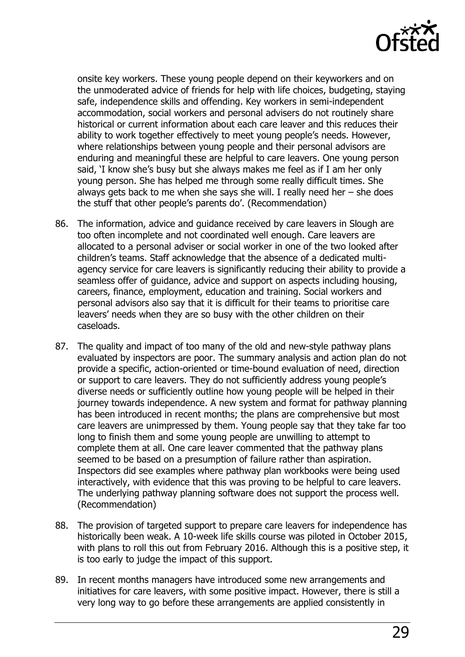

onsite key workers. These young people depend on their keyworkers and on the unmoderated advice of friends for help with life choices, budgeting, staying safe, independence skills and offending. Key workers in semi-independent accommodation, social workers and personal advisers do not routinely share historical or current information about each care leaver and this reduces their ability to work together effectively to meet young people's needs. However, where relationships between young people and their personal advisors are enduring and meaningful these are helpful to care leavers. One young person said, 'I know she's busy but she always makes me feel as if I am her only young person. She has helped me through some really difficult times. She always gets back to me when she says she will. I really need her – she does the stuff that other people's parents do'. (Recommendation)

- 86. The information, advice and guidance received by care leavers in Slough are too often incomplete and not coordinated well enough. Care leavers are allocated to a personal adviser or social worker in one of the two looked after children's teams. Staff acknowledge that the absence of a dedicated multiagency service for care leavers is significantly reducing their ability to provide a seamless offer of guidance, advice and support on aspects including housing, careers, finance, employment, education and training. Social workers and personal advisors also say that it is difficult for their teams to prioritise care leavers' needs when they are so busy with the other children on their caseloads.
- 87. The quality and impact of too many of the old and new-style pathway plans evaluated by inspectors are poor. The summary analysis and action plan do not provide a specific, action-oriented or time-bound evaluation of need, direction or support to care leavers. They do not sufficiently address young people's diverse needs or sufficiently outline how young people will be helped in their journey towards independence. A new system and format for pathway planning has been introduced in recent months; the plans are comprehensive but most care leavers are unimpressed by them. Young people say that they take far too long to finish them and some young people are unwilling to attempt to complete them at all. One care leaver commented that the pathway plans seemed to be based on a presumption of failure rather than aspiration. Inspectors did see examples where pathway plan workbooks were being used interactively, with evidence that this was proving to be helpful to care leavers. The underlying pathway planning software does not support the process well. (Recommendation)
- 88. The provision of targeted support to prepare care leavers for independence has historically been weak. A 10-week life skills course was piloted in October 2015, with plans to roll this out from February 2016. Although this is a positive step, it is too early to judge the impact of this support.
- 89. In recent months managers have introduced some new arrangements and initiatives for care leavers, with some positive impact. However, there is still a very long way to go before these arrangements are applied consistently in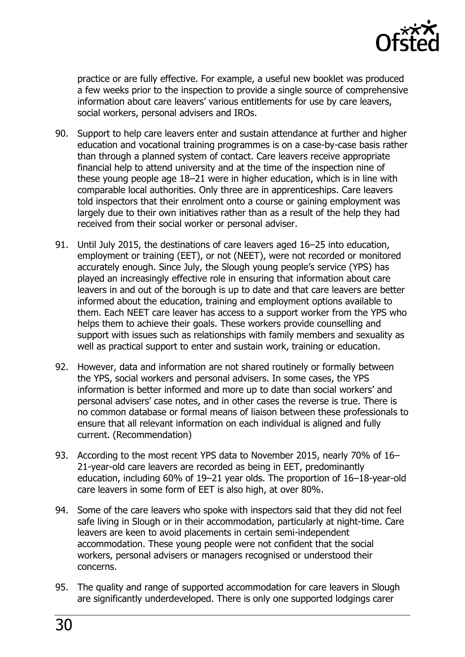

practice or are fully effective. For example, a useful new booklet was produced a few weeks prior to the inspection to provide a single source of comprehensive information about care leavers' various entitlements for use by care leavers, social workers, personal advisers and IROs.

- 90. Support to help care leavers enter and sustain attendance at further and higher education and vocational training programmes is on a case-by-case basis rather than through a planned system of contact. Care leavers receive appropriate financial help to attend university and at the time of the inspection nine of these young people age 18–21 were in higher education, which is in line with comparable local authorities. Only three are in apprenticeships. Care leavers told inspectors that their enrolment onto a course or gaining employment was largely due to their own initiatives rather than as a result of the help they had received from their social worker or personal adviser.
- 91. Until July 2015, the destinations of care leavers aged 16–25 into education, employment or training (EET), or not (NEET), were not recorded or monitored accurately enough. Since July, the Slough young people's service (YPS) has played an increasingly effective role in ensuring that information about care leavers in and out of the borough is up to date and that care leavers are better informed about the education, training and employment options available to them. Each NEET care leaver has access to a support worker from the YPS who helps them to achieve their goals. These workers provide counselling and support with issues such as relationships with family members and sexuality as well as practical support to enter and sustain work, training or education.
- 92. However, data and information are not shared routinely or formally between the YPS, social workers and personal advisers. In some cases, the YPS information is better informed and more up to date than social workers' and personal advisers' case notes, and in other cases the reverse is true. There is no common database or formal means of liaison between these professionals to ensure that all relevant information on each individual is aligned and fully current. (Recommendation)
- 93. According to the most recent YPS data to November 2015, nearly 70% of 16– 21-year-old care leavers are recorded as being in EET, predominantly education, including 60% of 19–21 year olds. The proportion of 16–18-year-old care leavers in some form of EET is also high, at over 80%.
- 94. Some of the care leavers who spoke with inspectors said that they did not feel safe living in Slough or in their accommodation, particularly at night-time. Care leavers are keen to avoid placements in certain semi-independent accommodation. These young people were not confident that the social workers, personal advisers or managers recognised or understood their concerns.
- 95. The quality and range of supported accommodation for care leavers in Slough are significantly underdeveloped. There is only one supported lodgings carer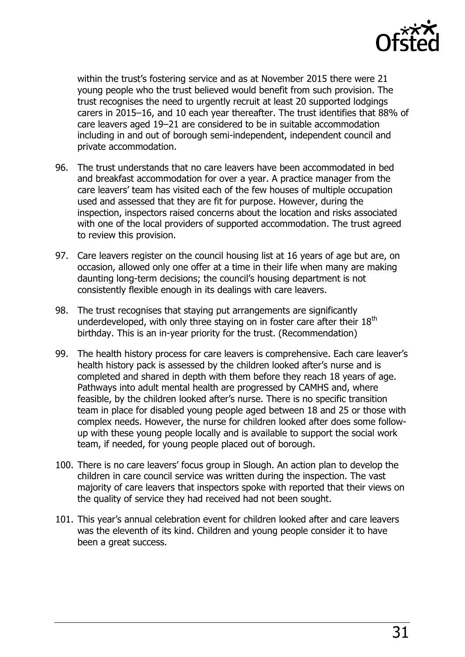

within the trust's fostering service and as at November 2015 there were 21 young people who the trust believed would benefit from such provision. The trust recognises the need to urgently recruit at least 20 supported lodgings carers in 2015–16, and 10 each year thereafter. The trust identifies that 88% of care leavers aged 19–21 are considered to be in suitable accommodation including in and out of borough semi-independent, independent council and private accommodation.

- 96. The trust understands that no care leavers have been accommodated in bed and breakfast accommodation for over a year. A practice manager from the care leavers' team has visited each of the few houses of multiple occupation used and assessed that they are fit for purpose. However, during the inspection, inspectors raised concerns about the location and risks associated with one of the local providers of supported accommodation. The trust agreed to review this provision.
- 97. Care leavers register on the council housing list at 16 years of age but are, on occasion, allowed only one offer at a time in their life when many are making daunting long-term decisions; the council's housing department is not consistently flexible enough in its dealings with care leavers.
- 98. The trust recognises that staying put arrangements are significantly underdeveloped, with only three staying on in foster care after their  $18<sup>th</sup>$ birthday. This is an in-year priority for the trust. (Recommendation)
- 99. The health history process for care leavers is comprehensive. Each care leaver's health history pack is assessed by the children looked after's nurse and is completed and shared in depth with them before they reach 18 years of age. Pathways into adult mental health are progressed by CAMHS and, where feasible, by the children looked after's nurse. There is no specific transition team in place for disabled young people aged between 18 and 25 or those with complex needs. However, the nurse for children looked after does some followup with these young people locally and is available to support the social work team, if needed, for young people placed out of borough.
- 100. There is no care leavers' focus group in Slough. An action plan to develop the children in care council service was written during the inspection. The vast majority of care leavers that inspectors spoke with reported that their views on the quality of service they had received had not been sought.
- 101. This year's annual celebration event for children looked after and care leavers was the eleventh of its kind. Children and young people consider it to have been a great success.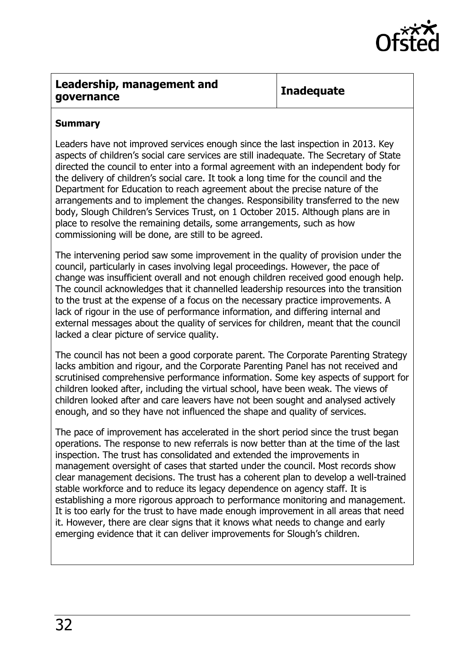

#### <span id="page-31-0"></span>**Leadership, management and governance Inadequate**

#### **Summary**

Leaders have not improved services enough since the last inspection in 2013. Key aspects of children's social care services are still inadequate. The Secretary of State directed the council to enter into a formal agreement with an independent body for the delivery of children's social care. It took a long time for the council and the Department for Education to reach agreement about the precise nature of the arrangements and to implement the changes. Responsibility transferred to the new body, Slough Children's Services Trust, on 1 October 2015. Although plans are in place to resolve the remaining details, some arrangements, such as how commissioning will be done, are still to be agreed.

The intervening period saw some improvement in the quality of provision under the council, particularly in cases involving legal proceedings. However, the pace of change was insufficient overall and not enough children received good enough help. The council acknowledges that it channelled leadership resources into the transition to the trust at the expense of a focus on the necessary practice improvements. A lack of rigour in the use of performance information, and differing internal and external messages about the quality of services for children, meant that the council lacked a clear picture of service quality.

The council has not been a good corporate parent. The Corporate Parenting Strategy lacks ambition and rigour, and the Corporate Parenting Panel has not received and scrutinised comprehensive performance information. Some key aspects of support for children looked after, including the virtual school, have been weak. The views of children looked after and care leavers have not been sought and analysed actively enough, and so they have not influenced the shape and quality of services.

The pace of improvement has accelerated in the short period since the trust began operations. The response to new referrals is now better than at the time of the last inspection. The trust has consolidated and extended the improvements in management oversight of cases that started under the council. Most records show clear management decisions. The trust has a coherent plan to develop a well-trained stable workforce and to reduce its legacy dependence on agency staff. It is establishing a more rigorous approach to performance monitoring and management. It is too early for the trust to have made enough improvement in all areas that need it. However, there are clear signs that it knows what needs to change and early emerging evidence that it can deliver improvements for Slough's children.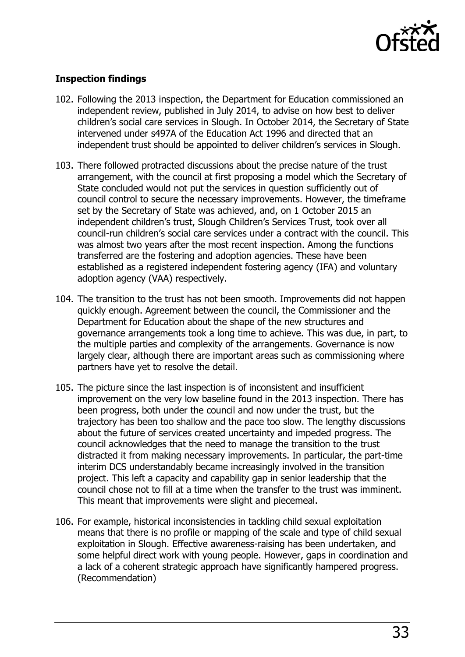

#### **Inspection findings**

- 102. Following the 2013 inspection, the Department for Education commissioned an independent review, published in July 2014, to advise on how best to deliver children's social care services in Slough. In October 2014, the Secretary of State intervened under s497A of the Education Act 1996 and directed that an independent trust should be appointed to deliver children's services in Slough.
- 103. There followed protracted discussions about the precise nature of the trust arrangement, with the council at first proposing a model which the Secretary of State concluded would not put the services in question sufficiently out of council control to secure the necessary improvements. However, the timeframe set by the Secretary of State was achieved, and, on 1 October 2015 an independent children's trust, Slough Children's Services Trust, took over all council-run children's social care services under a contract with the council. This was almost two years after the most recent inspection. Among the functions transferred are the fostering and adoption agencies. These have been established as a registered independent fostering agency (IFA) and voluntary adoption agency (VAA) respectively.
- 104. The transition to the trust has not been smooth. Improvements did not happen quickly enough. Agreement between the council, the Commissioner and the Department for Education about the shape of the new structures and governance arrangements took a long time to achieve. This was due, in part, to the multiple parties and complexity of the arrangements. Governance is now largely clear, although there are important areas such as commissioning where partners have yet to resolve the detail.
- 105. The picture since the last inspection is of inconsistent and insufficient improvement on the very low baseline found in the 2013 inspection. There has been progress, both under the council and now under the trust, but the trajectory has been too shallow and the pace too slow. The lengthy discussions about the future of services created uncertainty and impeded progress. The council acknowledges that the need to manage the transition to the trust distracted it from making necessary improvements. In particular, the part-time interim DCS understandably became increasingly involved in the transition project. This left a capacity and capability gap in senior leadership that the council chose not to fill at a time when the transfer to the trust was imminent. This meant that improvements were slight and piecemeal.
- 106. For example, historical inconsistencies in tackling child sexual exploitation means that there is no profile or mapping of the scale and type of child sexual exploitation in Slough. Effective awareness-raising has been undertaken, and some helpful direct work with young people. However, gaps in coordination and a lack of a coherent strategic approach have significantly hampered progress. (Recommendation)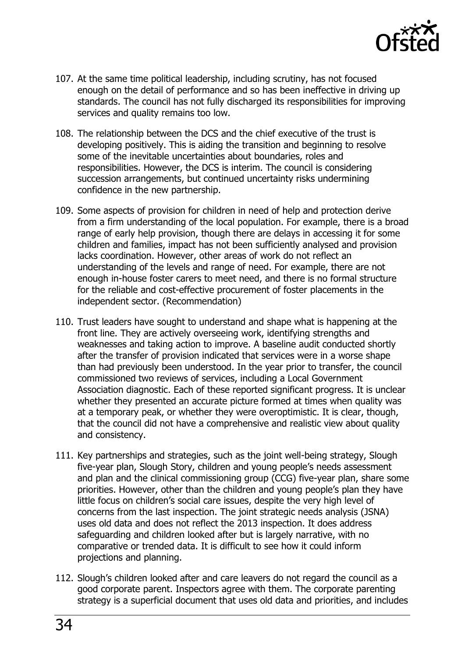

- 107. At the same time political leadership, including scrutiny, has not focused enough on the detail of performance and so has been ineffective in driving up standards. The council has not fully discharged its responsibilities for improving services and quality remains too low.
- 108. The relationship between the DCS and the chief executive of the trust is developing positively. This is aiding the transition and beginning to resolve some of the inevitable uncertainties about boundaries, roles and responsibilities. However, the DCS is interim. The council is considering succession arrangements, but continued uncertainty risks undermining confidence in the new partnership.
- 109. Some aspects of provision for children in need of help and protection derive from a firm understanding of the local population. For example, there is a broad range of early help provision, though there are delays in accessing it for some children and families, impact has not been sufficiently analysed and provision lacks coordination. However, other areas of work do not reflect an understanding of the levels and range of need. For example, there are not enough in-house foster carers to meet need, and there is no formal structure for the reliable and cost-effective procurement of foster placements in the independent sector. (Recommendation)
- 110. Trust leaders have sought to understand and shape what is happening at the front line. They are actively overseeing work, identifying strengths and weaknesses and taking action to improve. A baseline audit conducted shortly after the transfer of provision indicated that services were in a worse shape than had previously been understood. In the year prior to transfer, the council commissioned two reviews of services, including a Local Government Association diagnostic. Each of these reported significant progress. It is unclear whether they presented an accurate picture formed at times when quality was at a temporary peak, or whether they were overoptimistic. It is clear, though, that the council did not have a comprehensive and realistic view about quality and consistency.
- 111. Key partnerships and strategies, such as the joint well-being strategy, Slough five-year plan, Slough Story, children and young people's needs assessment and plan and the clinical commissioning group (CCG) five-year plan, share some priorities. However, other than the children and young people's plan they have little focus on children's social care issues, despite the very high level of concerns from the last inspection. The joint strategic needs analysis (JSNA) uses old data and does not reflect the 2013 inspection. It does address safeguarding and children looked after but is largely narrative, with no comparative or trended data. It is difficult to see how it could inform projections and planning.
- 112. Slough's children looked after and care leavers do not regard the council as a good corporate parent. Inspectors agree with them. The corporate parenting strategy is a superficial document that uses old data and priorities, and includes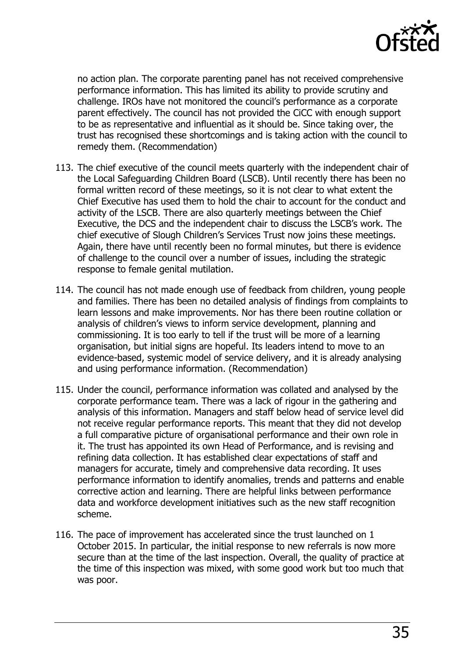

no action plan. The corporate parenting panel has not received comprehensive performance information. This has limited its ability to provide scrutiny and challenge. IROs have not monitored the council's performance as a corporate parent effectively. The council has not provided the CiCC with enough support to be as representative and influential as it should be. Since taking over, the trust has recognised these shortcomings and is taking action with the council to remedy them. (Recommendation)

- 113. The chief executive of the council meets quarterly with the independent chair of the Local Safeguarding Children Board (LSCB). Until recently there has been no formal written record of these meetings, so it is not clear to what extent the Chief Executive has used them to hold the chair to account for the conduct and activity of the LSCB. There are also quarterly meetings between the Chief Executive, the DCS and the independent chair to discuss the LSCB's work. The chief executive of Slough Children's Services Trust now joins these meetings. Again, there have until recently been no formal minutes, but there is evidence of challenge to the council over a number of issues, including the strategic response to female genital mutilation.
- 114. The council has not made enough use of feedback from children, young people and families. There has been no detailed analysis of findings from complaints to learn lessons and make improvements. Nor has there been routine collation or analysis of children's views to inform service development, planning and commissioning. It is too early to tell if the trust will be more of a learning organisation, but initial signs are hopeful. Its leaders intend to move to an evidence-based, systemic model of service delivery, and it is already analysing and using performance information. (Recommendation)
- 115. Under the council, performance information was collated and analysed by the corporate performance team. There was a lack of rigour in the gathering and analysis of this information. Managers and staff below head of service level did not receive regular performance reports. This meant that they did not develop a full comparative picture of organisational performance and their own role in it. The trust has appointed its own Head of Performance, and is revising and refining data collection. It has established clear expectations of staff and managers for accurate, timely and comprehensive data recording. It uses performance information to identify anomalies, trends and patterns and enable corrective action and learning. There are helpful links between performance data and workforce development initiatives such as the new staff recognition scheme.
- 116. The pace of improvement has accelerated since the trust launched on 1 October 2015. In particular, the initial response to new referrals is now more secure than at the time of the last inspection. Overall, the quality of practice at the time of this inspection was mixed, with some good work but too much that was poor.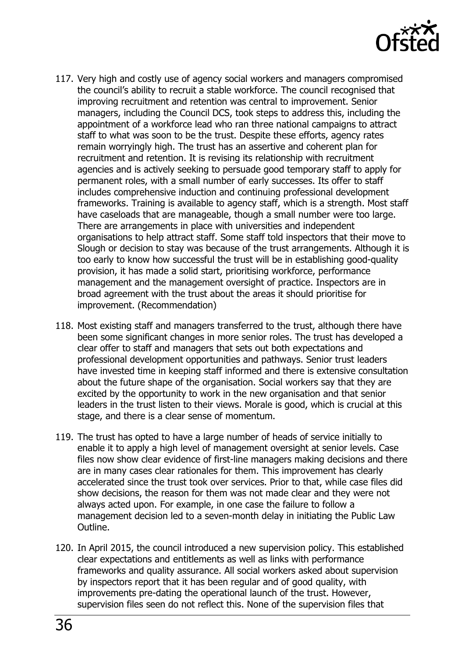

- 117. Very high and costly use of agency social workers and managers compromised the council's ability to recruit a stable workforce. The council recognised that improving recruitment and retention was central to improvement. Senior managers, including the Council DCS, took steps to address this, including the appointment of a workforce lead who ran three national campaigns to attract staff to what was soon to be the trust. Despite these efforts, agency rates remain worryingly high. The trust has an assertive and coherent plan for recruitment and retention. It is revising its relationship with recruitment agencies and is actively seeking to persuade good temporary staff to apply for permanent roles, with a small number of early successes. Its offer to staff includes comprehensive induction and continuing professional development frameworks. Training is available to agency staff, which is a strength. Most staff have caseloads that are manageable, though a small number were too large. There are arrangements in place with universities and independent organisations to help attract staff. Some staff told inspectors that their move to Slough or decision to stay was because of the trust arrangements. Although it is too early to know how successful the trust will be in establishing good-quality provision, it has made a solid start, prioritising workforce, performance management and the management oversight of practice. Inspectors are in broad agreement with the trust about the areas it should prioritise for improvement. (Recommendation)
- 118. Most existing staff and managers transferred to the trust, although there have been some significant changes in more senior roles. The trust has developed a clear offer to staff and managers that sets out both expectations and professional development opportunities and pathways. Senior trust leaders have invested time in keeping staff informed and there is extensive consultation about the future shape of the organisation. Social workers say that they are excited by the opportunity to work in the new organisation and that senior leaders in the trust listen to their views. Morale is good, which is crucial at this stage, and there is a clear sense of momentum.
- 119. The trust has opted to have a large number of heads of service initially to enable it to apply a high level of management oversight at senior levels. Case files now show clear evidence of first-line managers making decisions and there are in many cases clear rationales for them. This improvement has clearly accelerated since the trust took over services. Prior to that, while case files did show decisions, the reason for them was not made clear and they were not always acted upon. For example, in one case the failure to follow a management decision led to a seven-month delay in initiating the Public Law Outline.
- 120. In April 2015, the council introduced a new supervision policy. This established clear expectations and entitlements as well as links with performance frameworks and quality assurance. All social workers asked about supervision by inspectors report that it has been regular and of good quality, with improvements pre-dating the operational launch of the trust. However, supervision files seen do not reflect this. None of the supervision files that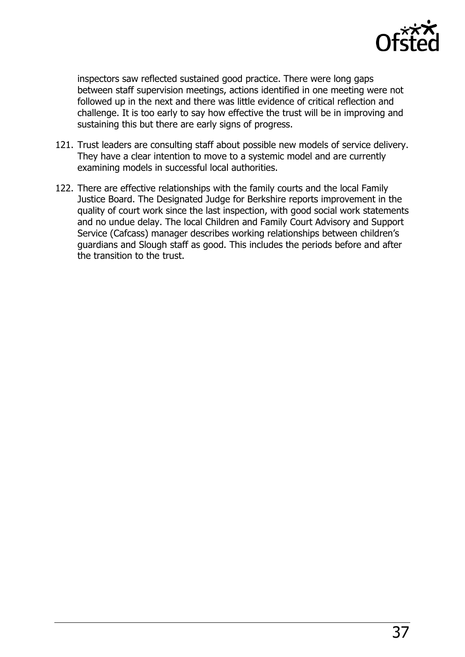

inspectors saw reflected sustained good practice. There were long gaps between staff supervision meetings, actions identified in one meeting were not followed up in the next and there was little evidence of critical reflection and challenge. It is too early to say how effective the trust will be in improving and sustaining this but there are early signs of progress.

- 121. Trust leaders are consulting staff about possible new models of service delivery. They have a clear intention to move to a systemic model and are currently examining models in successful local authorities.
- <span id="page-36-0"></span>122. There are effective relationships with the family courts and the local Family Justice Board. The Designated Judge for Berkshire reports improvement in the quality of court work since the last inspection, with good social work statements and no undue delay. The local Children and Family Court Advisory and Support Service (Cafcass) manager describes working relationships between children's guardians and Slough staff as good. This includes the periods before and after the transition to the trust.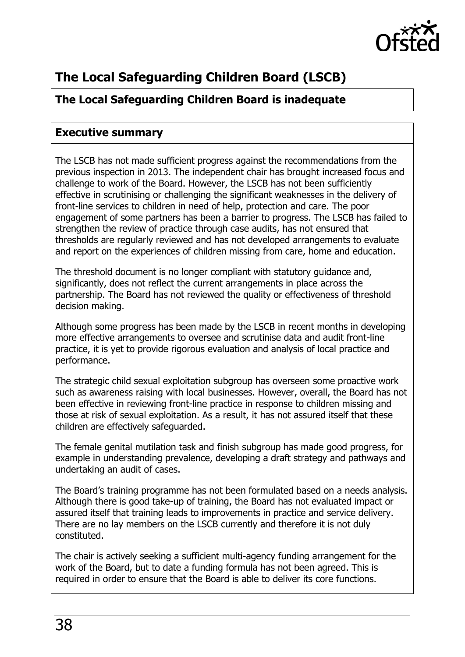

## **The Local Safeguarding Children Board (LSCB)**

## **The Local Safeguarding Children Board is inadequate**

### <span id="page-37-0"></span>**Executive summary**

The LSCB has not made sufficient progress against the recommendations from the previous inspection in 2013. The independent chair has brought increased focus and challenge to work of the Board. However, the LSCB has not been sufficiently effective in scrutinising or challenging the significant weaknesses in the delivery of front-line services to children in need of help, protection and care. The poor engagement of some partners has been a barrier to progress. The LSCB has failed to strengthen the review of practice through case audits, has not ensured that thresholds are regularly reviewed and has not developed arrangements to evaluate and report on the experiences of children missing from care, home and education.

The threshold document is no longer compliant with statutory guidance and, significantly, does not reflect the current arrangements in place across the partnership. The Board has not reviewed the quality or effectiveness of threshold decision making.

Although some progress has been made by the LSCB in recent months in developing more effective arrangements to oversee and scrutinise data and audit front-line practice, it is yet to provide rigorous evaluation and analysis of local practice and performance.

The strategic child sexual exploitation subgroup has overseen some proactive work such as awareness raising with local businesses. However, overall, the Board has not been effective in reviewing front-line practice in response to children missing and those at risk of sexual exploitation. As a result, it has not assured itself that these children are effectively safeguarded.

The female genital mutilation task and finish subgroup has made good progress, for example in understanding prevalence, developing a draft strategy and pathways and undertaking an audit of cases.

The Board's training programme has not been formulated based on a needs analysis. Although there is good take-up of training, the Board has not evaluated impact or assured itself that training leads to improvements in practice and service delivery. There are no lay members on the LSCB currently and therefore it is not duly constituted.

The chair is actively seeking a sufficient multi-agency funding arrangement for the work of the Board, but to date a funding formula has not been agreed. This is required in order to ensure that the Board is able to deliver its core functions.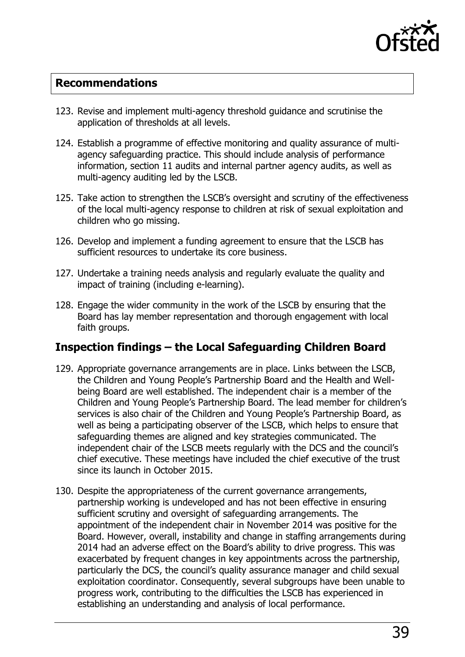

#### <span id="page-38-0"></span>**Recommendations**

- 123. Revise and implement multi-agency threshold guidance and scrutinise the application of thresholds at all levels.
- 124. Establish a programme of effective monitoring and quality assurance of multiagency safeguarding practice. This should include analysis of performance information, section 11 audits and internal partner agency audits, as well as multi-agency auditing led by the LSCB.
- 125. Take action to strengthen the LSCB's oversight and scrutiny of the effectiveness of the local multi-agency response to children at risk of sexual exploitation and children who go missing.
- 126. Develop and implement a funding agreement to ensure that the LSCB has sufficient resources to undertake its core business.
- 127. Undertake a training needs analysis and regularly evaluate the quality and impact of training (including e-learning).
- 128. Engage the wider community in the work of the LSCB by ensuring that the Board has lay member representation and thorough engagement with local faith groups.

#### <span id="page-38-1"></span>**Inspection findings – the Local Safeguarding Children Board**

- 129. Appropriate governance arrangements are in place. Links between the LSCB, the Children and Young People's Partnership Board and the Health and Wellbeing Board are well established. The independent chair is a member of the Children and Young People's Partnership Board. The lead member for children's services is also chair of the Children and Young People's Partnership Board, as well as being a participating observer of the LSCB, which helps to ensure that safeguarding themes are aligned and key strategies communicated. The independent chair of the LSCB meets regularly with the DCS and the council's chief executive. These meetings have included the chief executive of the trust since its launch in October 2015.
- 130. Despite the appropriateness of the current governance arrangements, partnership working is undeveloped and has not been effective in ensuring sufficient scrutiny and oversight of safeguarding arrangements. The appointment of the independent chair in November 2014 was positive for the Board. However, overall, instability and change in staffing arrangements during 2014 had an adverse effect on the Board's ability to drive progress. This was exacerbated by frequent changes in key appointments across the partnership, particularly the DCS, the council's quality assurance manager and child sexual exploitation coordinator. Consequently, several subgroups have been unable to progress work, contributing to the difficulties the LSCB has experienced in establishing an understanding and analysis of local performance.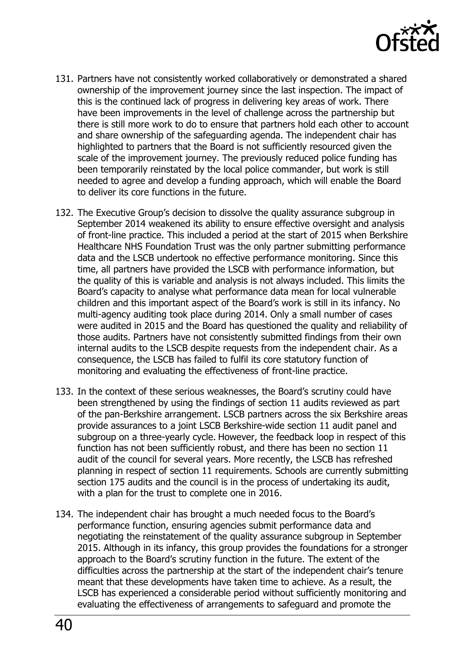

- 131. Partners have not consistently worked collaboratively or demonstrated a shared ownership of the improvement journey since the last inspection. The impact of this is the continued lack of progress in delivering key areas of work. There have been improvements in the level of challenge across the partnership but there is still more work to do to ensure that partners hold each other to account and share ownership of the safeguarding agenda. The independent chair has highlighted to partners that the Board is not sufficiently resourced given the scale of the improvement journey. The previously reduced police funding has been temporarily reinstated by the local police commander, but work is still needed to agree and develop a funding approach, which will enable the Board to deliver its core functions in the future.
- 132. The Executive Group's decision to dissolve the quality assurance subgroup in September 2014 weakened its ability to ensure effective oversight and analysis of front-line practice. This included a period at the start of 2015 when Berkshire Healthcare NHS Foundation Trust was the only partner submitting performance data and the LSCB undertook no effective performance monitoring. Since this time, all partners have provided the LSCB with performance information, but the quality of this is variable and analysis is not always included. This limits the Board's capacity to analyse what performance data mean for local vulnerable children and this important aspect of the Board's work is still in its infancy. No multi-agency auditing took place during 2014. Only a small number of cases were audited in 2015 and the Board has questioned the quality and reliability of those audits. Partners have not consistently submitted findings from their own internal audits to the LSCB despite requests from the independent chair. As a consequence, the LSCB has failed to fulfil its core statutory function of monitoring and evaluating the effectiveness of front-line practice.
- 133. In the context of these serious weaknesses, the Board's scrutiny could have been strengthened by using the findings of section 11 audits reviewed as part of the pan-Berkshire arrangement. LSCB partners across the six Berkshire areas provide assurances to a joint LSCB Berkshire-wide section 11 audit panel and subgroup on a three-yearly cycle. However, the feedback loop in respect of this function has not been sufficiently robust, and there has been no section 11 audit of the council for several years. More recently, the LSCB has refreshed planning in respect of section 11 requirements. Schools are currently submitting section 175 audits and the council is in the process of undertaking its audit, with a plan for the trust to complete one in 2016.
- 134. The independent chair has brought a much needed focus to the Board's performance function, ensuring agencies submit performance data and negotiating the reinstatement of the quality assurance subgroup in September 2015. Although in its infancy, this group provides the foundations for a stronger approach to the Board's scrutiny function in the future. The extent of the difficulties across the partnership at the start of the independent chair's tenure meant that these developments have taken time to achieve. As a result, the LSCB has experienced a considerable period without sufficiently monitoring and evaluating the effectiveness of arrangements to safeguard and promote the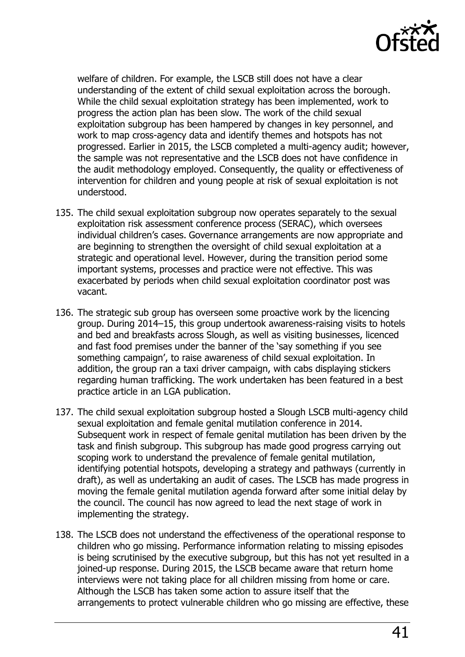

welfare of children. For example, the LSCB still does not have a clear understanding of the extent of child sexual exploitation across the borough. While the child sexual exploitation strategy has been implemented, work to progress the action plan has been slow. The work of the child sexual exploitation subgroup has been hampered by changes in key personnel, and work to map cross-agency data and identify themes and hotspots has not progressed. Earlier in 2015, the LSCB completed a multi-agency audit; however, the sample was not representative and the LSCB does not have confidence in the audit methodology employed. Consequently, the quality or effectiveness of intervention for children and young people at risk of sexual exploitation is not understood.

- 135. The child sexual exploitation subgroup now operates separately to the sexual exploitation risk assessment conference process (SERAC), which oversees individual children's cases. Governance arrangements are now appropriate and are beginning to strengthen the oversight of child sexual exploitation at a strategic and operational level. However, during the transition period some important systems, processes and practice were not effective. This was exacerbated by periods when child sexual exploitation coordinator post was vacant.
- 136. The strategic sub group has overseen some proactive work by the licencing group. During 2014–15, this group undertook awareness-raising visits to hotels and bed and breakfasts across Slough, as well as visiting businesses, licenced and fast food premises under the banner of the 'say something if you see something campaign', to raise awareness of child sexual exploitation. In addition, the group ran a taxi driver campaign, with cabs displaying stickers regarding human trafficking. The work undertaken has been featured in a best practice article in an LGA publication.
- 137. The child sexual exploitation subgroup hosted a Slough LSCB multi-agency child sexual exploitation and female genital mutilation conference in 2014. Subsequent work in respect of female genital mutilation has been driven by the task and finish subgroup. This subgroup has made good progress carrying out scoping work to understand the prevalence of female genital mutilation, identifying potential hotspots, developing a strategy and pathways (currently in draft), as well as undertaking an audit of cases. The LSCB has made progress in moving the female genital mutilation agenda forward after some initial delay by the council. The council has now agreed to lead the next stage of work in implementing the strategy.
- 138. The LSCB does not understand the effectiveness of the operational response to children who go missing. Performance information relating to missing episodes is being scrutinised by the executive subgroup, but this has not yet resulted in a joined-up response. During 2015, the LSCB became aware that return home interviews were not taking place for all children missing from home or care. Although the LSCB has taken some action to assure itself that the arrangements to protect vulnerable children who go missing are effective, these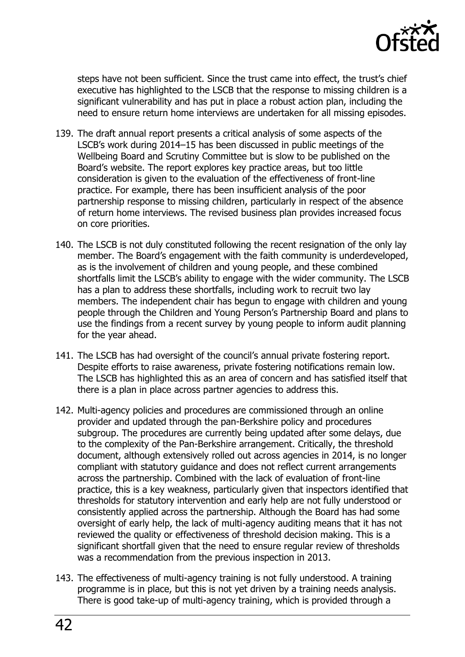

steps have not been sufficient. Since the trust came into effect, the trust's chief executive has highlighted to the LSCB that the response to missing children is a significant vulnerability and has put in place a robust action plan, including the need to ensure return home interviews are undertaken for all missing episodes.

- 139. The draft annual report presents a critical analysis of some aspects of the LSCB's work during 2014–15 has been discussed in public meetings of the Wellbeing Board and Scrutiny Committee but is slow to be published on the Board's website. The report explores key practice areas, but too little consideration is given to the evaluation of the effectiveness of front-line practice. For example, there has been insufficient analysis of the poor partnership response to missing children, particularly in respect of the absence of return home interviews. The revised business plan provides increased focus on core priorities.
- 140. The LSCB is not duly constituted following the recent resignation of the only lay member. The Board's engagement with the faith community is underdeveloped, as is the involvement of children and young people, and these combined shortfalls limit the LSCB's ability to engage with the wider community. The LSCB has a plan to address these shortfalls, including work to recruit two lay members. The independent chair has begun to engage with children and young people through the Children and Young Person's Partnership Board and plans to use the findings from a recent survey by young people to inform audit planning for the year ahead.
- 141. The LSCB has had oversight of the council's annual private fostering report. Despite efforts to raise awareness, private fostering notifications remain low. The LSCB has highlighted this as an area of concern and has satisfied itself that there is a plan in place across partner agencies to address this.
- 142. Multi-agency policies and procedures are commissioned through an online provider and updated through the pan-Berkshire policy and procedures subgroup. The procedures are currently being updated after some delays, due to the complexity of the Pan-Berkshire arrangement. Critically, the threshold document, although extensively rolled out across agencies in 2014, is no longer compliant with statutory guidance and does not reflect current arrangements across the partnership. Combined with the lack of evaluation of front-line practice, this is a key weakness, particularly given that inspectors identified that thresholds for statutory intervention and early help are not fully understood or consistently applied across the partnership. Although the Board has had some oversight of early help, the lack of multi-agency auditing means that it has not reviewed the quality or effectiveness of threshold decision making. This is a significant shortfall given that the need to ensure regular review of thresholds was a recommendation from the previous inspection in 2013.
- 143. The effectiveness of multi-agency training is not fully understood. A training programme is in place, but this is not yet driven by a training needs analysis. There is good take-up of multi-agency training, which is provided through a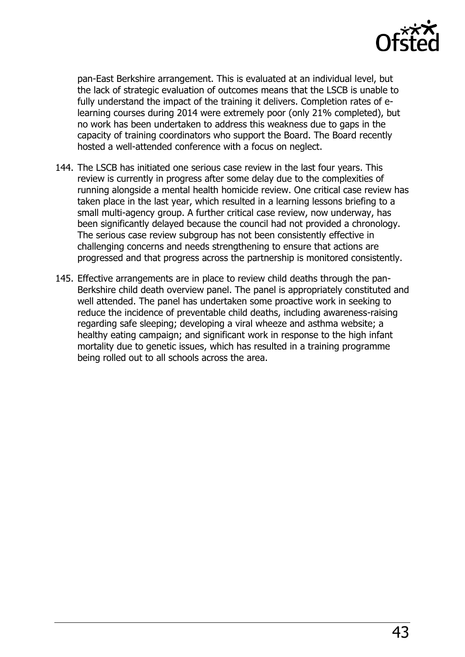

pan-East Berkshire arrangement. This is evaluated at an individual level, but the lack of strategic evaluation of outcomes means that the LSCB is unable to fully understand the impact of the training it delivers. Completion rates of elearning courses during 2014 were extremely poor (only 21% completed), but no work has been undertaken to address this weakness due to gaps in the capacity of training coordinators who support the Board. The Board recently hosted a well-attended conference with a focus on neglect.

- 144. The LSCB has initiated one serious case review in the last four years. This review is currently in progress after some delay due to the complexities of running alongside a mental health homicide review. One critical case review has taken place in the last year, which resulted in a learning lessons briefing to a small multi-agency group. A further critical case review, now underway, has been significantly delayed because the council had not provided a chronology. The serious case review subgroup has not been consistently effective in challenging concerns and needs strengthening to ensure that actions are progressed and that progress across the partnership is monitored consistently.
- <span id="page-42-0"></span>145. Effective arrangements are in place to review child deaths through the pan-Berkshire child death overview panel. The panel is appropriately constituted and well attended. The panel has undertaken some proactive work in seeking to reduce the incidence of preventable child deaths, including awareness-raising regarding safe sleeping; developing a viral wheeze and asthma website; a healthy eating campaign; and significant work in response to the high infant mortality due to genetic issues, which has resulted in a training programme being rolled out to all schools across the area.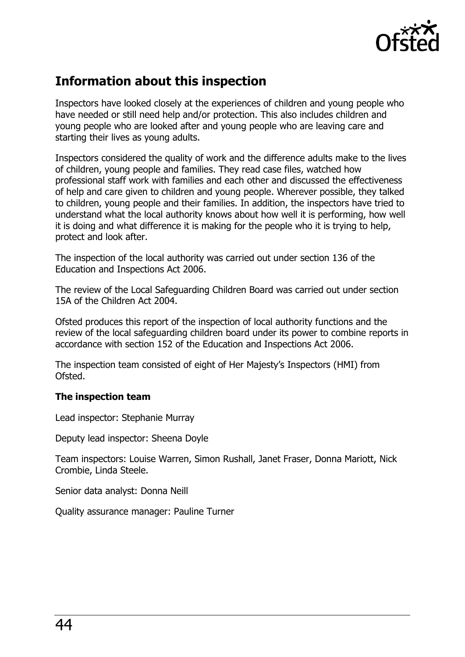

## **Information about this inspection**

Inspectors have looked closely at the experiences of children and young people who have needed or still need help and/or protection. This also includes children and young people who are looked after and young people who are leaving care and starting their lives as young adults.

Inspectors considered the quality of work and the difference adults make to the lives of children, young people and families. They read case files, watched how professional staff work with families and each other and discussed the effectiveness of help and care given to children and young people. Wherever possible, they talked to children, young people and their families. In addition, the inspectors have tried to understand what the local authority knows about how well it is performing, how well it is doing and what difference it is making for the people who it is trying to help, protect and look after.

The inspection of the local authority was carried out under section 136 of the Education and Inspections Act 2006.

The review of the Local Safeguarding Children Board was carried out under section 15A of the Children Act 2004.

Ofsted produces this report of the inspection of local authority functions and the review of the local safeguarding children board under its power to combine reports in accordance with section 152 of the Education and Inspections Act 2006.

The inspection team consisted of eight of Her Majesty's Inspectors (HMI) from Ofsted.

#### **The inspection team**

Lead inspector: Stephanie Murray

Deputy lead inspector: Sheena Doyle

Team inspectors: Louise Warren, Simon Rushall, Janet Fraser, Donna Mariott, Nick Crombie, Linda Steele.

Senior data analyst: Donna Neill

Quality assurance manager: Pauline Turner